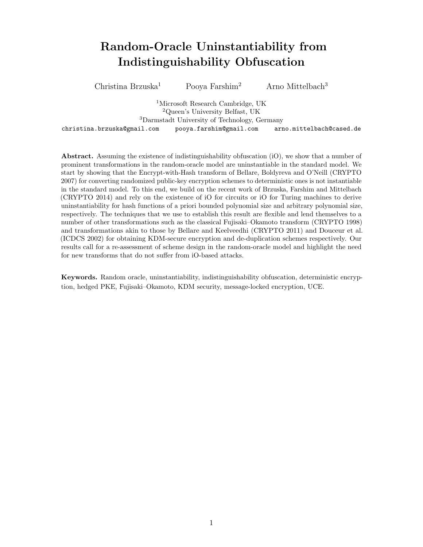# Random-Oracle Uninstantiability from Indistinguishability Obfuscation

Christina Brzuska<sup>1</sup> Pooya Farshim<sup>2</sup> Arno Mittelbach<sup>3</sup>

Microsoft Research Cambridge, UK Queen's University Belfast, UK Darmstadt University of Technology, Germany christina.brzuska@gmail.com pooya.farshim@gmail.com arno.mittelbach@cased.de

Abstract. Assuming the existence of indistinguishability obfuscation (iO), we show that a number of prominent transformations in the random-oracle model are uninstantiable in the standard model. We start by showing that the Encrypt-with-Hash transform of Bellare, Boldyreva and O'Neill (CRYPTO 2007) for converting randomized public-key encryption schemes to deterministic ones is not instantiable in the standard model. To this end, we build on the recent work of Brzuska, Farshim and Mittelbach (CRYPTO 2014) and rely on the existence of iO for circuits or iO for Turing machines to derive uninstantiability for hash functions of a priori bounded polynomial size and arbitrary polynomial size, respectively. The techniques that we use to establish this result are flexible and lend themselves to a number of other transformations such as the classical Fujisaki–Okamoto transform (CRYPTO 1998) and transformations akin to those by Bellare and Keelveedhi (CRYPTO 2011) and Douceur et al. (ICDCS 2002) for obtaining KDM-secure encryption and de-duplication schemes respectively. Our results call for a re-assessment of scheme design in the random-oracle model and highlight the need for new transforms that do not suffer from iO-based attacks.

Keywords. Random oracle, uninstantiability, indistinguishability obfuscation, deterministic encryption, hedged PKE, Fujisaki–Okamoto, KDM security, message-locked encryption, UCE.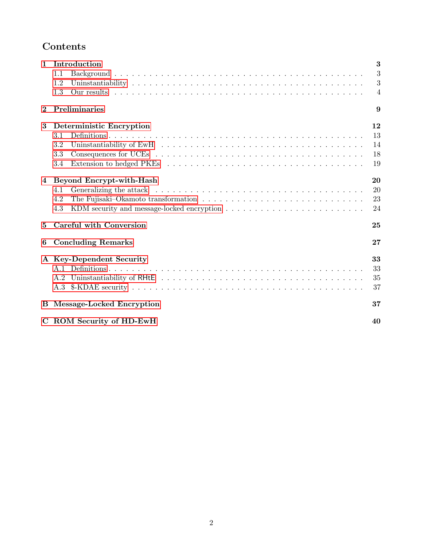# Contents

| $\mathbf{1}$ | Introduction                                                                                                                                                                                                                          | 3                |
|--------------|---------------------------------------------------------------------------------------------------------------------------------------------------------------------------------------------------------------------------------------|------------------|
|              | 1.1                                                                                                                                                                                                                                   | 3                |
|              | 1.2                                                                                                                                                                                                                                   | $\boldsymbol{3}$ |
|              | 1.3                                                                                                                                                                                                                                   | $\overline{4}$   |
| $\bf{2}$     | Preliminaries                                                                                                                                                                                                                         | 9                |
| 3            | Deterministic Encryption                                                                                                                                                                                                              | 12               |
|              | 3.1                                                                                                                                                                                                                                   | 13               |
|              | 3.2                                                                                                                                                                                                                                   | 14               |
|              | 3.3                                                                                                                                                                                                                                   | 18               |
|              | 3.4                                                                                                                                                                                                                                   | 19               |
| 4            | Beyond Encrypt-with-Hash                                                                                                                                                                                                              | 20               |
|              | Generalizing the attack end is not contained a series of the state of the state of the state of the state of the state of the state of the state of the state of the state of the state of the state of the state of the state<br>4.1 | 20               |
|              | 4.2                                                                                                                                                                                                                                   | 23               |
|              | KDM security and message-locked encryption $\ldots \ldots \ldots \ldots \ldots \ldots \ldots \ldots \ldots$<br>4.3                                                                                                                    | 24               |
| 5            | Careful with Conversion<br>25                                                                                                                                                                                                         |                  |
| 6            | <b>Concluding Remarks</b>                                                                                                                                                                                                             | 27               |
|              | A Key-Dependent Security                                                                                                                                                                                                              | 33               |
|              |                                                                                                                                                                                                                                       | 33               |
|              | A.2                                                                                                                                                                                                                                   | 35               |
|              | A.3                                                                                                                                                                                                                                   | 37               |
|              | <b>B</b> Message-Locked Encryption                                                                                                                                                                                                    | 37               |
|              | C ROM Security of HD-EwH                                                                                                                                                                                                              | 40               |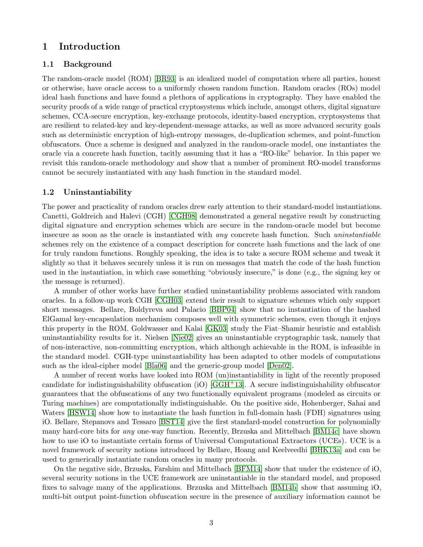## <span id="page-2-3"></span><span id="page-2-0"></span>1 Introduction

#### <span id="page-2-1"></span>1.1 Background

The random-oracle model (ROM) [\[BR93\]](#page-29-0) is an idealized model of computation where all parties, honest or otherwise, have oracle access to a uniformly chosen random function. Random oracles (ROs) model ideal hash functions and have found a plethora of applications in cryptography. They have enabled the security proofs of a wide range of practical cryptosystems which include, amongst others, digital signature schemes, CCA-secure encryption, key-exchange protocols, identity-based encryption, cryptosystems that are resilient to related-key and key-dependent-message attacks, as well as more advanced security goals such as deterministic encryption of high-entropy messages, de-duplication schemes, and point-function obfuscators. Once a scheme is designed and analyzed in the random-oracle model, one instantiates the oracle via a concrete hash function, tacitly assuming that it has a "RO-like" behavior. In this paper we revisit this random-oracle methodology and show that a number of prominent RO-model transforms cannot be securely instantiated with any hash function in the standard model.

#### <span id="page-2-2"></span>1.2 Uninstantiability

The power and practicality of random oracles drew early attention to their standard-model instantiations. Canetti, Goldreich and Halevi (CGH) [\[CGH98\]](#page-30-0) demonstrated a general negative result by constructing digital signature and encryption schemes which are secure in the random-oracle model but become insecure as soon as the oracle is instantiated with *any* concrete hash function. Such *uninstantiable* schemes rely on the existence of a compact description for concrete hash functions and the lack of one for truly random functions. Roughly speaking, the idea is to take a secure ROM scheme and tweak it slightly so that it behaves securely unless it is run on messages that match the code of the hash function used in the instantiation, in which case something "obviously insecure," is done (e.g., the signing key or the message is returned).

A number of other works have further studied uninstantiability problems associated with random oracles. In a follow-up work CGH [\[CGH03\]](#page-30-1) extend their result to signature schemes which only support short messages. Bellare, Boldyreva and Palacio [\[BBP04\]](#page-27-0) show that no instantiation of the hashed ElGamal key-encapsulation mechanism composes well with symmetric schemes, even though it enjoys this property in the ROM. Goldwasser and Kalai [\[GK03\]](#page-31-0) study the Fiat–Shamir heuristic and establish uninstantiability results for it. Nielsen [\[Nie02\]](#page-32-2) gives an uninstantiable cryptographic task, namely that of non-interactive, non-committing encryption, which although achievable in the ROM, is infeasible in the standard model. CGH-type uninstantiability has been adapted to other models of computations such as the ideal-cipher model [\[Bla06\]](#page-29-1) and the generic-group model [\[Den02\]](#page-30-2).

A number of recent works have looked into ROM (un)instantiability in light of the recently proposed candidate for indistinguishability obfuscation (iO)  $[GGH<sup>+</sup>13]$  $[GGH<sup>+</sup>13]$ . A secure indistinguishability obfuscator guarantees that the obfuscations of any two functionally equivalent programs (modeled as circuits or Turing machines) are computationally indistinguishable. On the positive side, Hohenberger, Sahai and Waters [\[HSW14\]](#page-31-1) show how to instantiate the hash function in full-domain hash (FDH) signatures using iO. Bellare, Stepanovs and Tessaro [\[BST14\]](#page-29-2) give the first standard-model construction for polynomially many hard-core bits for any one-way function. Recently, Brzuska and Mittelbach [\[BM14c\]](#page-29-3) have shown how to use iO to instantiate certain forms of Universal Computational Extractors (UCEs). UCE is a novel framework of security notions introduced by Bellare, Hoang and Keelveedhi [\[BHK13a\]](#page-28-0) and can be used to generically instantiate random oracles in many protocols.

On the negative side, Brzuska, Farshim and Mittelbach [\[BFM14\]](#page-28-1) show that under the existence of iO, several security notions in the UCE framework are uninstantiable in the standard model, and proposed fixes to salvage many of the applications. Brzuska and Mittelbach [\[BM14b\]](#page-29-4) show that assuming iO, multi-bit output point-function obfuscation secure in the presence of auxiliary information cannot be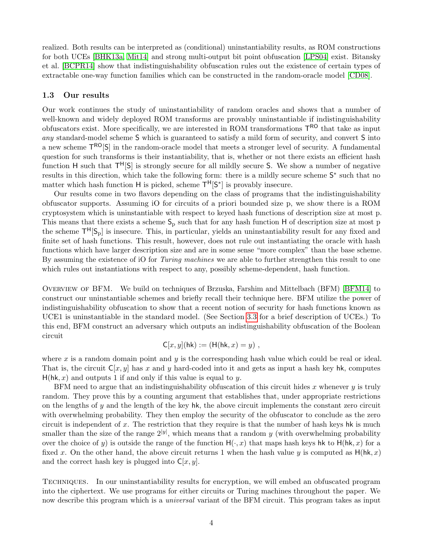<span id="page-3-1"></span>realized. Both results can be interpreted as (conditional) uninstantiability results, as ROM constructions for both UCEs [\[BHK13a,](#page-28-0) [Mit14\]](#page-31-2) and strong multi-output bit point obfuscation [\[LPS04\]](#page-31-3) exist. Bitansky et al. [\[BCPR14\]](#page-27-1) show that indistinguishability obfuscation rules out the existence of certain types of extractable one-way function families which can be constructed in the random-oracle model [\[CD08\]](#page-30-4).

#### <span id="page-3-0"></span>1.3 Our results

Our work continues the study of uninstantiability of random oracles and shows that a number of well-known and widely deployed ROM transforms are provably uninstantiable if indistinguishability obfuscators exist. More specifically, we are interested in ROM transformations  $T^{RO}$  that take as input any standard-model scheme S which is guaranteed to satisfy a mild form of security, and convert S into a new scheme  $T^{RO}[S]$  in the random-oracle model that meets a stronger level of security. A fundamental question for such transforms is their instantiability, that is, whether or not there exists an efficient hash function H such that  $T^{\mathsf{H}}[S]$  is strongly secure for all mildly secure S. We show a number of negative results in this direction, which take the following form: there is a mildly secure scheme S<sup>∗</sup> such that no matter which hash function  $H$  is picked, scheme  $T^H[S^*]$  is provably insecure.

Our results come in two flavors depending on the class of programs that the indistinguishability obfuscator supports. Assuming iO for circuits of a priori bounded size p, we show there is a ROM cryptosystem which is uninstantiable with respect to keyed hash functions of description size at most p. This means that there exists a scheme  $S_p$  such that for any hash function H of description size at most p the scheme  $T^{\text{H}}[S_{p}]$  is insecure. This, in particular, yields an uninstantiability result for any fixed and finite set of hash functions. This result, however, does not rule out instantiating the oracle with hash functions which have larger description size and are in some sense "more complex" than the base scheme. By assuming the existence of iO for Turing machines we are able to further strengthen this result to one which rules out instantiations with respect to any, possibly scheme-dependent, hash function.

Overview of BFM. We build on techniques of Brzuska, Farshim and Mittelbach (BFM) [\[BFM14\]](#page-28-1) to construct our uninstantiable schemes and briefly recall their technique here. BFM utilize the power of indistinguishability obfuscation to show that a recent notion of security for hash functions known as UCE1 is uninstantiable in the standard model. (See Section [3.3](#page-17-0) for a brief description of UCEs.) To this end, BFM construct an adversary which outputs an indistinguishability obfuscation of the Boolean circuit

$$
C[x, y](hk) := (H(hk, x) = y)
$$
,

where x is a random domain point and y is the corresponding hash value which could be real or ideal. That is, the circuit  $C[x, y]$  has x and y hard-coded into it and gets as input a hash key hk, computes  $H(hk, x)$  and outputs 1 if and only if this value is equal to y.

BFM need to argue that an indistinguishability obfuscation of this circuit hides x whenever  $y$  is truly random. They prove this by a counting argument that establishes that, under appropriate restrictions on the lengths of  $y$  and the length of the key hk, the above circuit implements the constant zero circuit with overwhelming probability. They then employ the security of the obfuscator to conclude as the zero circuit is independent of  $x$ . The restriction that they require is that the number of hash keys hk is much smaller than the size of the range  $2^{|y|}$ , which means that a random y (with overwhelming probability over the choice of y) is outside the range of the function  $H(\cdot, x)$  that maps hash keys hk to  $H(hk, x)$  for a fixed x. On the other hand, the above circuit returns 1 when the hash value y is computed as  $H(hk, x)$ and the correct hash key is plugged into  $C[x, y]$ .

Techniques. In our uninstantiability results for encryption, we will embed an obfuscated program into the ciphertext. We use programs for either circuits or Turing machines throughout the paper. We now describe this program which is a *universal* variant of the BFM circuit. This program takes as input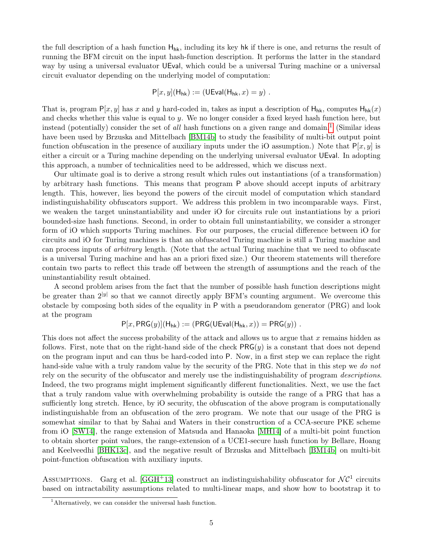<span id="page-4-1"></span>the full description of a hash function  $H_{hk}$ , including its key hk if there is one, and returns the result of running the BFM circuit on the input hash-function description. It performs the latter in the standard way by using a universal evaluator UEval, which could be a universal Turing machine or a universal circuit evaluator depending on the underlying model of computation:

$$
P[x, y](H_{hk}) := (UEval(H_{hk}, x) = y).
$$

That is, program  $P[x, y]$  has x and y hard-coded in, takes as input a description of  $H_{hk}$ , computes  $H_{hk}(x)$ and checks whether this value is equal to y. We no longer consider a fixed keyed hash function here, but instead (potentially) consider the set of all hash functions on a given range and domain.<sup>[1](#page-4-0)</sup> (Similar ideas have been used by Brzuska and Mittelbach [\[BM14b\]](#page-29-4) to study the feasibility of multi-bit output point function obfuscation in the presence of auxiliary inputs under the iO assumption.) Note that  $P[x, y]$  is either a circuit or a Turing machine depending on the underlying universal evaluator UEval. In adopting this approach, a number of technicalities need to be addressed, which we discuss next.

Our ultimate goal is to derive a strong result which rules out instantiations (of a transformation) by arbitrary hash functions. This means that program P above should accept inputs of arbitrary length. This, however, lies beyond the powers of the circuit model of computation which standard indistinguishability obfuscators support. We address this problem in two incomparable ways. First, we weaken the target uninstantiability and under iO for circuits rule out instantiations by a priori bounded-size hash functions. Second, in order to obtain full uninstantiability, we consider a stronger form of iO which supports Turing machines. For our purposes, the crucial difference between iO for circuits and iO for Turing machines is that an obfuscated Turing machine is still a Turing machine and can process inputs of arbitrary length. (Note that the actual Turing machine that we need to obfuscate is a universal Turing machine and has an a priori fixed size.) Our theorem statements will therefore contain two parts to reflect this trade off between the strength of assumptions and the reach of the uninstantiability result obtained.

A second problem arises from the fact that the number of possible hash function descriptions might be greater than  $2^{|y|}$  so that we cannot directly apply BFM's counting argument. We overcome this obstacle by composing both sides of the equality in P with a pseudorandom generator (PRG) and look at the program

$$
P[x, PRG(y)](H_{hk}) := (PRG(UEval(H_{hk}, x)) = PRG(y)).
$$

This does not affect the success probability of the attack and allows us to argue that x remains hidden as follows. First, note that on the right-hand side of the check  $PRG(y)$  is a constant that does not depend on the program input and can thus be hard-coded into P. Now, in a first step we can replace the right hand-side value with a truly random value by the security of the PRG. Note that in this step we do not rely on the security of the obfuscator and merely use the indistinguishability of program *descriptions*. Indeed, the two programs might implement significantly different functionalities. Next, we use the fact that a truly random value with overwhelming probability is outside the range of a PRG that has a sufficiently long stretch. Hence, by iO security, the obfuscation of the above program is computationally indistinguishable from an obfuscation of the zero program. We note that our usage of the PRG is somewhat similar to that by Sahai and Waters in their construction of a CCA-secure PKE scheme from iO [\[SW14\]](#page-32-3), the range extension of Matsuda and Hanaoka [\[MH14\]](#page-31-4) of a multi-bit point function to obtain shorter point values, the range-extension of a UCE1-secure hash function by Bellare, Hoang and Keelveedhi [\[BHK13c\]](#page-29-5), and the negative result of Brzuska and Mittelbach [\[BM14b\]](#page-29-4) on multi-bit point-function obfuscation with auxiliary inputs.

ASSUMPTIONS. Garg et al. [\[GGH](#page-30-3)<sup>+</sup>13] construct an indistinguishability obfuscator for  $\mathcal{N} \mathcal{C}^1$  circuits based on intractability assumptions related to multi-linear maps, and show how to bootstrap it to

<span id="page-4-0"></span><sup>&</sup>lt;sup>1</sup>Alternatively, we can consider the universal hash function.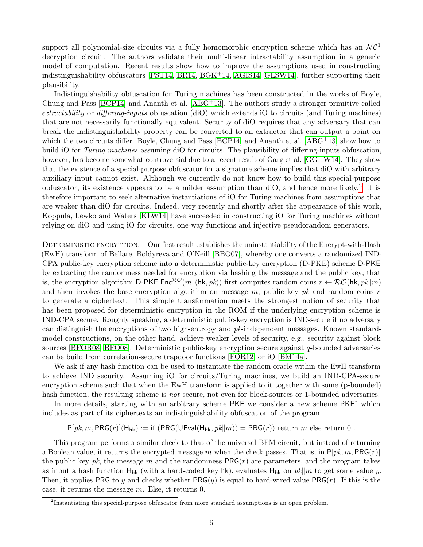<span id="page-5-1"></span>support all polynomial-size circuits via a fully homomorphic encryption scheme which has an  $N\mathcal{C}^1$ decryption circuit. The authors validate their multi-linear intractability assumption in a generic model of computation. Recent results show how to improve the assumptions used in constructing indistinguishability obfuscators [\[PST14,](#page-32-4) [BR14,](#page-29-6) [BGK](#page-28-2)+14, [AGIS14,](#page-27-2) [GLSW14\]](#page-31-5), further supporting their plausibility.

Indistinguishability obfuscation for Turing machines has been constructed in the works of Boyle, Chung and Pass [\[BCP14\]](#page-27-3) and Ananth et al. [\[ABG](#page-27-4)+13]. The authors study a stronger primitive called extractability or differing-inputs obfuscation (diO) which extends iO to circuits (and Turing machines) that are not necessarily functionally equivalent. Security of diO requires that any adversary that can break the indistinguishability property can be converted to an extractor that can output a point on which the two circuits differ. Boyle, Chung and Pass [\[BCP14\]](#page-27-3) and Ananth et al.  $[ABC^+13]$  show how to build iO for *Turing machines* assuming diO for circuits. The plausibility of differing-inputs obfuscation, however, has become somewhat controversial due to a recent result of Garg et al. [\[GGHW14\]](#page-31-6). They show that the existence of a special-purpose obfuscator for a signature scheme implies that diO with arbitrary auxiliary input cannot exist. Although we currently do not know how to build this special-purpose obfuscator, its existence appears to be a milder assumption than diO, and hence more likely.<sup>[2](#page-5-0)</sup> It is therefore important to seek alternative instantiations of iO for Turing machines from assumptions that are weaker than diO for circuits. Indeed, very recently and shortly after the appearance of this work, Koppula, Lewko and Waters [\[KLW14\]](#page-31-7) have succeeded in constructing iO for Turing machines without relying on diO and using iO for circuits, one-way functions and injective pseudorandom generators.

DETERMINISTIC ENCRYPTION. Our first result establishes the uninstantiability of the Encrypt-with-Hash (EwH) transform of Bellare, Boldyreva and O'Neill [\[BBO07\]](#page-27-5), whereby one converts a randomized IND-CPA public-key encryption scheme into a deterministic public-key encryption (D-PKE) scheme D-PKE by extracting the randomness needed for encryption via hashing the message and the public key; that is, the encryption algorithm D-PKE.Enc<sup> $\mathcal{RO}(m, (\mathsf{hk}, \mathit{pk}))$  first computes random coins  $r \leftarrow \mathcal{RO}(\mathsf{hk}, \mathit{pk}||m)$ </sup> and then invokes the base encryption algorithm on message  $m$ , public key  $pk$  and random coins r to generate a ciphertext. This simple transformation meets the strongest notion of security that has been proposed for deterministic encryption in the ROM if the underlying encryption scheme is IND-CPA secure. Roughly speaking, a deterministic public-key encryption is IND-secure if no adversary can distinguish the encryptions of two high-entropy and pk-independent messages. Known standardmodel constructions, on the other hand, achieve weaker levels of security, e.g., security against block sources [\[BFOR08,](#page-28-3) [BFO08\]](#page-28-4). Deterministic public-key encryption secure against q-bounded adversaries can be build from correlation-secure trapdoor functions [\[FOR12\]](#page-30-5) or iO [\[BM14a\]](#page-29-7).

We ask if any hash function can be used to instantiate the random oracle within the EwH transform to achieve IND security. Assuming iO for circuits/Turing machines, we build an IND-CPA-secure encryption scheme such that when the EwH transform is applied to it together with some (p-bounded) hash function, the resulting scheme is *not* secure, not even for block-sources or 1-bounded adversaries.

In more details, starting with an arbitrary scheme PKE we consider a new scheme PKE<sup>∗</sup> which includes as part of its ciphertexts an indistinguishability obfuscation of the program

 $P[pk, m, PRG(r)](H_{hk}) :=$  if  $(PRG(UEval(H_{hk}, pk||m)) = PRG(r))$  return m else return 0.

This program performs a similar check to that of the universal BFM circuit, but instead of returning a Boolean value, it returns the encrypted message m when the check passes. That is, in  $P[pk, m, PRG(r)]$ the public key pk, the message m and the randomness  $PRG(r)$  are parameters, and the program takes as input a hash function  $H_{hk}$  (with a hard-coded key hk), evaluates  $H_{hk}$  on  $pk||m$  to get some value y. Then, it applies PRG to y and checks whether PRG(y) is equal to hard-wired value PRG(r). If this is the case, it returns the message  $m$ . Else, it returns 0.

<span id="page-5-0"></span><sup>&</sup>lt;sup>2</sup>Instantiating this special-purpose obfuscator from more standard assumptions is an open problem.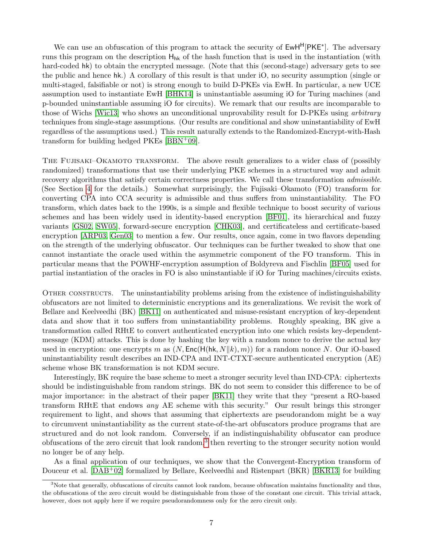<span id="page-6-1"></span>We can use an obfuscation of this program to attack the security of  $\text{EwH}^{\text{H}}[\text{PKE}^*]$ . The adversary runs this program on the description Hhk of the hash function that is used in the instantiation (with hard-coded hk) to obtain the encrypted message. (Note that this (second-stage) adversary gets to see the public and hence hk.) A corollary of this result is that under iO, no security assumption (single or multi-staged, falsifiable or not) is strong enough to build D-PKEs via EwH. In particular, a new UCE assumption used to instantiate EwH [\[BHK14\]](#page-29-8) is uninstantiable assuming iO for Turing machines (and p-bounded uninstantiable assuming iO for circuits). We remark that our results are incomparable to those of Wichs [\[Wic13\]](#page-32-5) who shows an unconditional unprovability result for D-PKEs using *arbitrary* techniques from single-stage assumptions. (Our results are conditional and show uninstantiability of EwH regardless of the assumptions used.) This result naturally extends to the Randomized-Encrypt-with-Hash transform for building hedged PKEs [\[BBN](#page-27-6)+09].

THE FUJISAKI–OKAMOTO TRANSFORM. The above result generalizes to a wider class of (possibly randomized) transformations that use their underlying PKE schemes in a structured way and admit recovery algorithms that satisfy certain correctness properties. We call these transformation *admissible*. (See Section [4](#page-19-0) for the details.) Somewhat surprisingly, the Fujisaki–Okamoto (FO) transform for converting CPA into CCA security is admissible and thus suffers from uninstantiability. The FO transform, which dates back to the 1990s, is a simple and flexible technique to boost security of various schemes and has been widely used in identity-based encryption [\[BF01\]](#page-27-7), its hierarchical and fuzzy variants [\[GS02,](#page-31-8) [SW05\]](#page-32-6), forward-secure encryption [\[CHK03\]](#page-30-6), and certificateless and certificate-based encryption [\[ARP03,](#page-27-8) [Gen03\]](#page-30-7) to mention a few. Our results, once again, come in two flavors depending on the strength of the underlying obfuscator. Our techniques can be further tweaked to show that one cannot instantiate the oracle used within the asymmetric component of the FO transform. This in particular means that the POWHF-encryption assumption of Boldyreva and Fischlin [\[BF05\]](#page-28-5) used for partial instantiation of the oracles in FO is also uninstantiable if iO for Turing machines/circuits exists.

Other constructs. The uninstantiability problems arising from the existence of indistinguishability obfuscators are not limited to deterministic encryptions and its generalizations. We revisit the work of Bellare and Keelveedhi (BK) [\[BK11\]](#page-29-9) on authenticated and misuse-resistant encryption of key-dependent data and show that it too suffers from uninstantiability problems. Roughly speaking, BK give a transformation called RHtE to convert authenticated encryption into one which resists key-dependentmessage (KDM) attacks. This is done by hashing the key with a random nonce to derive the actual key used in encryption: one encrypts m as  $(N, \text{Enc}(H(hk, N||k), m))$  for a random nonce N. Our iO-based uninstantiability result describes an IND-CPA and INT-CTXT-secure authenticated encryption (AE) scheme whose BK transformation is not KDM secure.

Interestingly, BK require the base scheme to meet a stronger security level than IND-CPA: ciphertexts should be indistinguishable from random strings. BK do not seem to consider this difference to be of major importance: in the abstract of their paper [\[BK11\]](#page-29-9) they write that they "present a RO-based transform RHtE that endows any AE scheme with this security." Our result brings this stronger requirement to light, and shows that assuming that ciphertexts are pseudorandom might be a way to circumvent uninstantiability as the current state-of-the-art obfuscators produce programs that are structured and do not look random. Conversely, if an indistinguishability obfuscator can produce obfuscations of the zero circuit that look random,<sup>[3](#page-6-0)</sup> then reverting to the stronger security notion would no longer be of any help.

As a final application of our techniques, we show that the Convergent-Encryption transform of Douceur et al. [\[DAB](#page-30-8)+02] formalized by Bellare, Keelveedhi and Ristenpart (BKR) [\[BKR13\]](#page-29-10) for building

<span id="page-6-0"></span><sup>&</sup>lt;sup>3</sup>Note that generally, obfuscations of circuits cannot look random, because obfuscation maintains functionality and thus, the obfuscations of the zero circuit would be distinguishable from those of the constant one circuit. This trivial attack, however, does not apply here if we require pseudorandomness only for the zero circuit only.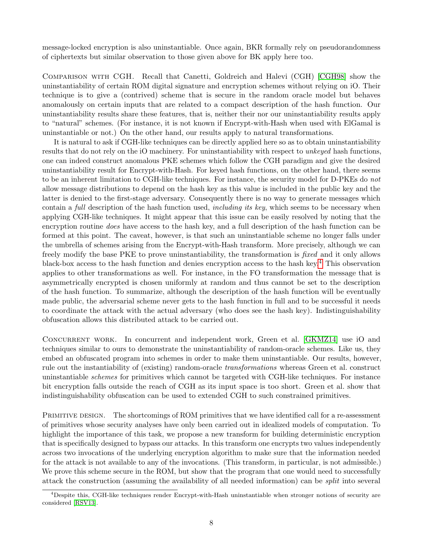<span id="page-7-1"></span>message-locked encryption is also uninstantiable. Once again, BKR formally rely on pseudorandomness of ciphertexts but similar observation to those given above for BK apply here too.

Comparison with CGH. Recall that Canetti, Goldreich and Halevi (CGH) [\[CGH98\]](#page-30-0) show the uninstantiability of certain ROM digital signature and encryption schemes without relying on iO. Their technique is to give a (contrived) scheme that is secure in the random oracle model but behaves anomalously on certain inputs that are related to a compact description of the hash function. Our uninstantiability results share these features, that is, neither their nor our uninstantiability results apply to "natural" schemes. (For instance, it is not known if Encrypt-with-Hash when used with ElGamal is uninstantiable or not.) On the other hand, our results apply to natural transformations.

It is natural to ask if CGH-like techniques can be directly applied here so as to obtain uninstantiability results that do not rely on the iO machinery. For uninstantiability with respect to *unkeyed* hash functions, one can indeed construct anomalous PKE schemes which follow the CGH paradigm and give the desired uninstantiability result for Encrypt-with-Hash. For keyed hash functions, on the other hand, there seems to be an inherent limitation to CGH-like techniques. For instance, the security model for D-PKEs do not allow message distributions to depend on the hash key as this value is included in the public key and the latter is denied to the first-stage adversary. Consequently there is no way to generate messages which contain a full description of the hash function used, including its key, which seems to be necessary when applying CGH-like techniques. It might appear that this issue can be easily resolved by noting that the encryption routine *does* have access to the hash key, and a full description of the hash function can be formed at this point. The caveat, however, is that such an uninstantiable scheme no longer falls under the umbrella of schemes arising from the Encrypt-with-Hash transform. More precisely, although we can freely modify the base PKE to prove uninstantiability, the transformation is fixed and it only allows black-box access to the hash function and denies encryption access to the hash key.[4](#page-7-0) This observation applies to other transformations as well. For instance, in the FO transformation the message that is asymmetrically encrypted is chosen uniformly at random and thus cannot be set to the description of the hash function. To summarize, although the description of the hash function will be eventually made public, the adversarial scheme never gets to the hash function in full and to be successful it needs to coordinate the attack with the actual adversary (who does see the hash key). Indistinguishability obfuscation allows this distributed attack to be carried out.

CONCURRENT WORK. In concurrent and independent work, Green et al. [\[GKMZ14\]](#page-31-9) use iO and techniques similar to ours to demonstrate the uninstantiability of random-oracle schemes. Like us, they embed an obfuscated program into schemes in order to make them uninstantiable. Our results, however, rule out the instantiability of (existing) random-oracle transformations whereas Green et al. construct uninstantiable schemes for primitives which cannot be targeted with CGH-like techniques. For instance bit encryption falls outside the reach of CGH as its input space is too short. Green et al. show that indistinguishability obfuscation can be used to extended CGH to such constrained primitives.

PRIMITIVE DESIGN. The shortcomings of ROM primitives that we have identified call for a re-assessment of primitives whose security analyses have only been carried out in idealized models of computation. To highlight the importance of this task, we propose a new transform for building deterministic encryption that is specifically designed to bypass our attacks. In this transform one encrypts two values independently across two invocations of the underlying encryption algorithm to make sure that the information needed for the attack is not available to any of the invocations. (This transform, in particular, is not admissible.) We prove this scheme secure in the ROM, but show that the program that one would need to successfully attack the construction (assuming the availability of all needed information) can be split into several

<span id="page-7-0"></span><sup>&</sup>lt;sup>4</sup>Despite this, CGH-like techniques render Encrypt-with-Hash uninstantiable when stronger notions of security are considered [\[RSV13\]](#page-32-7).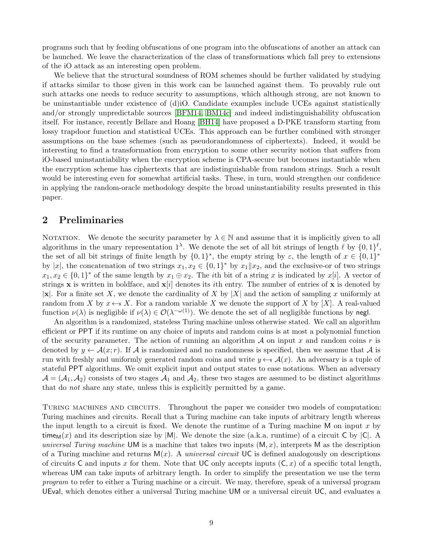<span id="page-8-1"></span>programs such that by feeding obfuscations of one program into the obfuscations of another an attack can be launched. We leave the characterization of the class of transformations which fall prey to extensions of the iO attack as an interesting open problem.

We believe that the structural soundness of ROM schemes should be further validated by studying if attacks similar to those given in this work can be launched against them. To provably rule out such attacks one needs to reduce security to assumptions, which although strong, are not known to be uninstantiable under existence of (d)iO. Candidate examples include UCEs against statistically and/or strongly unpredictable sources [\[BFM14,](#page-28-1) [BM14c\]](#page-29-3) and indeed indistinguishability obfuscation itself. For instance, recently Bellare and Hoang [\[BH14\]](#page-28-6) have proposed a D-PKE transform starting from lossy trapdoor function and statistical UCEs. This approach can be further combined with stronger assumptions on the base schemes (such as pseudorandomness of ciphertexts). Indeed, it would be interesting to find a transformation from encryption to some other security notion that suffers from iO-based uninstantiability when the encryption scheme is CPA-secure but becomes instantiable when the encryption scheme has ciphertexts that are indistinguishable from random strings. Such a result would be interesting even for somewhat artificial tasks. These, in turn, would strengthen our confidence in applying the random-oracle methodology despite the broad uninstantiability results presented in this paper.

## <span id="page-8-0"></span>2 Preliminaries

NOTATION. We denote the security parameter by  $\lambda \in \mathbb{N}$  and assume that it is implicitly given to all algorithms in the unary representation  $1^{\lambda}$ . We denote the set of all bit strings of length  $\ell$  by  $\{0, 1\}^{\ell}$ , the set of all bit strings of finite length by  $\{0,1\}^*$ , the empty string by  $\varepsilon$ , the length of  $x \in \{0,1\}^*$ by |x|, the concatenation of two strings  $x_1, x_2 \in \{0, 1\}^*$  by  $x_1 || x_2$ , and the exclusive-or of two strings  $x_1, x_2 \in \{0,1\}^*$  of the same length by  $x_1 \oplus x_2$ . The *i*th bit of a string x is indicated by  $x[i]$ . A vector of strings x is written in boldface, and  $x[i]$  denotes its *i*th entry. The number of entries of x is denoted by  $|\mathbf{x}|$ . For a finite set X, we denote the cardinality of X by |X| and the action of sampling x uniformly at random from X by  $x \leftrightarrow X$ . For a random variable X we denote the support of X by [X]. A real-valued function  $\nu(\lambda)$  is negligible if  $\nu(\lambda) \in \mathcal{O}(\lambda^{-\omega(1)})$ . We denote the set of all negligible functions by negl.

An algorithm is a randomized, stateless Turing machine unless otherwise stated. We call an algorithm efficient or PPT if its runtime on any choice of inputs and random coins is at most a polynomial function of the security parameter. The action of running an algorithm  $A$  on input x and random coins r is denoted by  $y \leftarrow \mathcal{A}(x; r)$ . If A is randomized and no randomness is specified, then we assume that A is run with freshly and uniformly generated random coins and write  $y \leftarrow s \mathcal{A}(x)$ . An adversary is a tuple of stateful PPT algorithms. We omit explicit input and output states to ease notations. When an adversary  $A = (A_1, A_2)$  consists of two stages  $A_1$  and  $A_2$ , these two stages are assumed to be distinct algorithms that do not share any state, unless this is explicitly permitted by a game.

TURING MACHINES AND CIRCUITS. Throughout the paper we consider two models of computation: Turing machines and circuits. Recall that a Turing machine can take inputs of arbitrary length whereas the input length to a circuit is fixed. We denote the runtime of a Turing machine M on input x by time<sub>M</sub>(x) and its description size by |M|. We denote the size (a.k.a. runtime) of a circuit C by |C|. A universal Turing machine UM is a machine that takes two inputs  $(M, x)$ , interprets M as the description of a Turing machine and returns  $M(x)$ . A universal circuit UC is defined analogously on descriptions of circuits C and inputs x for them. Note that UC only accepts inputs  $(C, x)$  of a specific total length, whereas UM can take inputs of arbitrary length. In order to simplify the presentation we use the term program to refer to either a Turing machine or a circuit. We may, therefore, speak of a universal program UEval, which denotes either a universal Turing machine UM or a universal circuit UC, and evaluates a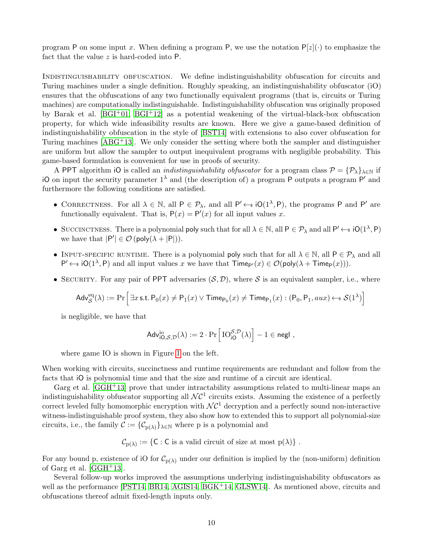<span id="page-9-0"></span>program P on some input x. When defining a program P, we use the notation  $P[z](.)$  to emphasize the fact that the value z is hard-coded into P.

Indistinguishability obfuscation. We define indistinguishability obfuscation for circuits and Turing machines under a single definition. Roughly speaking, an indistinguishability obfuscator (iO) ensures that the obfuscations of any two functionally equivalent programs (that is, circuits or Turing machines) are computationally indistinguishable. Indistinguishability obfuscation was originally proposed by Barak et al.  $[BGI^+01, BGI^+12]$  $[BGI^+01, BGI^+12]$  $[BGI^+01, BGI^+12]$  $[BGI^+01, BGI^+12]$  as a potential weakening of the virtual-black-box obfuscation property, for which wide infeasibility results are known. Here we give a game-based definition of indistinguishability obfuscation in the style of [\[BST14\]](#page-29-2) with extensions to also cover obfuscation for Turing machines [\[ABG](#page-27-4)+13]. We only consider the setting where both the sampler and distinguisher are uniform but allow the sampler to output inequivalent programs with negligible probability. This game-based formulation is convenient for use in proofs of security.

A PPT algorithm iO is called an *indistinguishability obfuscator* for a program class  $\mathcal{P} = {\mathcal{P}_\lambda}_{\lambda \in \mathbb{N}}$  if iO on input the security parameter  $1^{\lambda}$  and (the description of) a program P outputs a program P' and furthermore the following conditions are satisfied.

- CORRECTNESS. For all  $\lambda \in \mathbb{N}$ , all  $P \in \mathcal{P}_{\lambda}$ , and all  $P' \leftarrow s \text{ iO}(1^{\lambda}, P)$ , the programs P and P' are functionally equivalent. That is,  $P(x) = P'(x)$  for all input values x.
- SUCCINCTNESS. There is a polynomial poly such that for all  $\lambda \in \mathbb{N}$ , all  $P \in \mathcal{P}_{\lambda}$  and all  $P' \leftarrow s \, iO(1^{\lambda}, P)$ we have that  $|P'| \in \mathcal{O}(\text{poly}(\lambda + |P|)).$
- INPUT-SPECIFIC RUNTIME. There is a polynomial poly such that for all  $\lambda \in \mathbb{N}$ , all  $P \in \mathcal{P}_{\lambda}$  and all  $P' \leftarrow s iO(1^{\lambda}, P)$  and all input values x we have that  $\mathsf{Time}_{P'}(x) \in \mathcal{O}(\mathsf{poly}(\lambda + \mathsf{Time}_{P}(x))).$
- SECURITY. For any pair of PPT adversaries  $(S, \mathcal{D})$ , where S is an equivalent sampler, i.e., where

$$
\mathsf{Adv}^{\text{eq}}_{\mathcal{S}}(\lambda) := \Pr\Big[\exists x \text{ s.t. } \mathsf{P}_0(x) \neq \mathsf{P}_1(x) \lor \mathsf{Time}_{\mathsf{P}_0}(x) \neq \mathsf{Time}_{\mathsf{P}_1}(x) : (\mathsf{P}_0, \mathsf{P}_1, aux) \leftarrow \mathsf{s} \mathcal{S}(1^{\lambda})\Big]
$$

is negligible, we have that

$$
\mathsf{Adv}_{\mathsf{iO},\mathcal{S},\mathcal{D}}^{\mathrm{io}}(\lambda) := 2 \cdot \Pr \Big[ \operatorname{IO}_{\mathsf{iO}}^{\mathcal{S},\mathcal{D}}(\lambda) \Big] - 1 \in \mathsf{negl} \;,
$$

where game IO is shown in Figure [1](#page-10-0) on the left.

When working with circuits, succinctness and runtime requirements are redundant and follow from the facts that iO is polynomial time and that the size and runtime of a circuit are identical.

Garg et al. [\[GGH](#page-30-3)+13] prove that under intractability assumptions related to multi-linear maps an indistinguishability obfuscator supporting all  $\mathcal{NC}^1$  circuits exists. Assuming the existence of a perfectly correct leveled fully homomorphic encryption with  $\mathcal{NC}^1$  decryption and a perfectly sound non-interactive witness-indistinguishable proof system, they also show how to extended this to support all polynomial-size circuits, i.e., the family  $\mathcal{C} := {\mathcal{C}_{p(\lambda)}}_{\lambda \in \mathbb{N}}$  where p is a polynomial and

$$
\mathcal{C}_{p(\lambda)} := \{ \mathsf{C} : \mathsf{C} \text{ is a valid circuit of size at most } p(\lambda) \}.
$$

For any bound p, existence of iO for  $C_{p(\lambda)}$  under our definition is implied by the (non-uniform) definition of Garg et al. [\[GGH](#page-30-3)+13].

Several follow-up works improved the assumptions underlying indistinguishability obfuscators as well as the performance  $[PST14, BR14, AGIS14, BGK<sup>+</sup>14, GLSW14]$  $[PST14, BR14, AGIS14, BGK<sup>+</sup>14, GLSW14]$  $[PST14, BR14, AGIS14, BGK<sup>+</sup>14, GLSW14]$  $[PST14, BR14, AGIS14, BGK<sup>+</sup>14, GLSW14]$  $[PST14, BR14, AGIS14, BGK<sup>+</sup>14, GLSW14]$  $[PST14, BR14, AGIS14, BGK<sup>+</sup>14, GLSW14]$  $[PST14, BR14, AGIS14, BGK<sup>+</sup>14, GLSW14]$  $[PST14, BR14, AGIS14, BGK<sup>+</sup>14, GLSW14]$  $[PST14, BR14, AGIS14, BGK<sup>+</sup>14, GLSW14]$ . As mentioned above, circuits and obfuscations thereof admit fixed-length inputs only.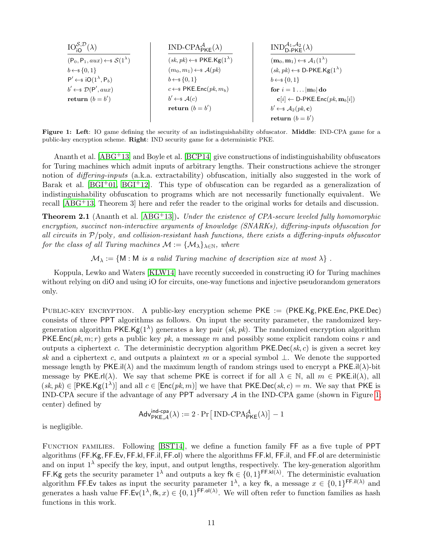<span id="page-10-1"></span><span id="page-10-0"></span>

| $IO_{iO}^{S,D}(\lambda)$                               | $IND-CPA_{PKE}^{A}(\lambda)$                     | $IND_{D-PKE}^{A_{1},A_{2}}(\lambda)$                  |
|--------------------------------------------------------|--------------------------------------------------|-------------------------------------------------------|
| $(P_{0}, P_{1}, aux) \leftrightarrow s S(1^{\lambda})$ | $(sk, pk) \leftrightarrow s PKE.Kg(1^{\lambda})$ | $(m_{0}, m_{1}) \leftrightarrow s A_{1}(1^{\lambda})$ |
| $P' \leftrightarrow s IO(1^{\lambda}, P_{b})$          | $(m_{0}, m_{1}) \leftrightarrow s A(pk)$         | $(sk, pk) \leftrightarrow s D-PKE.Kg(1^{\lambda})$    |
| $P' \leftrightarrow s IO(1^{\lambda}, P_{b})$          | $b \leftrightarrow s \{0, 1\}$                   | $(sk, pk) \leftrightarrow s D-PKE.Kg(1^{\lambda})$    |
| $b' \leftrightarrow s D(P', aux)$                      | $c \leftrightarrow PKEEnc(pk, m_{b})$            | $for i = 1 ...   m_{0}   do$                          |
| $b' \leftrightarrow s A(c)$                            | $for i = 1 ...   m_{0}   do$                     |                                                       |
| $b' \leftrightarrow s A(c)$                            | $leturn (b = b')$                                | $b' \leftrightarrow s A_{2}(pk, c)$                   |

Figure 1: Left: IO game defining the security of an indistinguishability obfuscator. Middle: IND-CPA game for a public-key encryption scheme. Right: IND security game for a deterministic PKE.

Ananth et al. [\[ABG](#page-27-4)+13] and Boyle et al. [\[BCP14\]](#page-27-3) give constructions of indistinguishability obfuscators for Turing machines which admit inputs of arbitrary lengths. Their constructions achieve the stronger notion of *differing-inputs* (a.k.a. extractability) obfuscation, initially also suggested in the work of Barak et al.  $[BGI^+01, BGI^+12]$  $[BGI^+01, BGI^+12]$  $[BGI^+01, BGI^+12]$  $[BGI^+01, BGI^+12]$ . This type of obfuscation can be regarded as a generalization of indistinguishability obfuscation to programs which are not necessarily functionally equivalent. We recall [\[ABG](#page-27-4)+13, Theorem 3] here and refer the reader to the original works for details and discussion.

**Theorem 2.1** (Ananth et al.  $[ABC^+13]$ ). Under the existence of CPA-secure leveled fully homomorphic encryption, succinct non-interactive arguments of knowledge (SNARKs), differing-inputs obfuscation for all circuits in  $\mathcal{P}/poly$ , and collision-resistant hash functions, there exists a differing-inputs obfuscator for the class of all Turing machines  $\mathcal{M} := \{ \mathcal{M}_{\lambda} \}_{\lambda \in \mathbb{N}}$ , where

 $\mathcal{M}_{\lambda} := \{ \mathsf{M} : \mathsf{M} \text{ is a valid Turing machine of description size at most } \lambda \}.$ 

Koppula, Lewko and Waters [\[KLW14\]](#page-31-7) have recently succeeded in constructing iO for Turing machines without relying on diO and using iO for circuits, one-way functions and injective pseudorandom generators only.

PUBLIC-KEY ENCRYPTION. A public-key encryption scheme PKE := (PKE.Kg, PKE.Enc, PKE.Dec) consists of three PPT algorithms as follows. On input the security parameter, the randomized keygeneration algorithm PKE.Kg( $1^{\lambda}$ ) generates a key pair (sk, pk). The randomized encryption algorithm PKE.Enc( $pk, m; r$ ) gets a public key  $pk$ , a message m and possibly some explicit random coins r and outputs a ciphertext c. The deterministic decryption algorithm  $PKE.$  Dec(sk, c) is given a secret key sk and a ciphertext c, and outputs a plaintext m or a special symbol  $\perp$ . We denote the supported message length by PKE.il( $\lambda$ ) and the maximum length of random strings used to encrypt a PKE.il( $\lambda$ )-bit message by PKE.rl( $\lambda$ ). We say that scheme PKE is correct if for all  $\lambda \in \mathbb{N}$ , all  $m \in \mathsf{PKE}$ .il( $\lambda$ ), all  $(s_k, pk) \in [PKE.Kg(1<sup>\lambda</sup>)]$  and all  $c \in [Enc(pk, m)]$  we have that PKE.Dec $(s_k, c) = m$ . We say that PKE is IND-CPA secure if the advantage of any PPT adversary  $A$  in the IND-CPA game (shown in Figure [1;](#page-10-0) center) defined by

$$
\mathsf{Adv}_{\mathsf{PKE},\mathcal{A}}^{\mathsf{ind-cpa}}(\lambda) := 2 \cdot \Pr \big[\, \text{IND-CPA}_{\mathsf{PKE}}^{\mathcal{A}}(\lambda) \big] - 1
$$

is negligible.

FUNCTION FAMILIES. Following [\[BST14\]](#page-29-2), we define a function family FF as a five tuple of PPT algorithms (FF.Kg, FF.Ev, FF.kl, FF.il, FF.ol) where the algorithms FF.kl, FF.il, and FF.ol are deterministic and on input  $1^{\lambda}$  specify the key, input, and output lengths, respectively. The key-generation algorithm **FF.Kg** gets the security parameter  $1^{\lambda}$  and outputs a key  $f k \in \{0,1\}^{FF.kl(\lambda)}$ . The deterministic evaluation algorithm FF.Ev takes as input the security parameter  $1^{\lambda}$ , a key fk, a message  $x \in \{0,1\}^{\text{FF},\text{il}(\lambda)}$  and generates a hash value  $\mathsf{FF.Ev}(1^{\lambda}, \mathsf{fk}, x) \in \{0,1\}^{\mathsf{FF.oI}(\lambda)}$ . We will often refer to function families as hash functions in this work.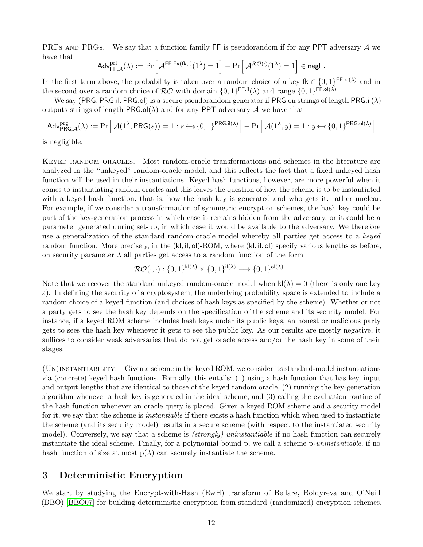<span id="page-11-1"></span>PRFS AND PRGS. We say that a function family FF is pseudorandom if for any PPT adversary A we have that

$$
\mathsf{Adv}_{\mathsf{FF},\mathcal{A}}^{\mathrm{prf}}(\lambda) := \Pr\left[\, \mathcal{A}^{\mathsf{FF}.\mathsf{Ev}(\mathsf{fk},\cdot)}(1^\lambda) = 1 \right] - \Pr\left[\, \mathcal{A}^{\mathcal{RO}(\cdot)}(1^\lambda) = 1 \right] \in \mathsf{negl} \; .
$$

In the first term above, the probability is taken over a random choice of a key  $fk \in \{0,1\}^{FF.kl(\lambda)}$  and in the second over a random choice of  $R\mathcal{O}$  with domain  $\{0,1\}^{\mathsf{FF},\mathsf{il}}(\lambda)$  and range  $\{0,1\}^{\mathsf{FF},\mathsf{ol}(\lambda)}$ .

We say (PRG, PRG.il, PRG.ol) is a secure pseudorandom generator if PRG on strings of length PRG.il( $\lambda$ ) outputs strings of length PRG.ol( $\lambda$ ) and for any PPT adversary A we have that

$$
\mathsf{Adv}_{\mathsf{PRG},\mathcal{A}}^{\mathrm{prg}}(\lambda) := \Pr\left[\mathcal{A}(1^{\lambda}, \mathsf{PRG}(s)) = 1 : s \leftarrow s \{0, 1\}^{\mathsf{PRG}.\mathsf{il}(\lambda)}\right] - \Pr\left[\mathcal{A}(1^{\lambda}, y) = 1 : y \leftarrow s \{0, 1\}^{\mathsf{PRG}.\mathsf{ol}(\lambda)}\right]
$$

is negligible.

Keyed random oracles. Most random-oracle transformations and schemes in the literature are analyzed in the "unkeyed" random-oracle model, and this reflects the fact that a fixed unkeyed hash function will be used in their instantiations. Keyed hash functions, however, are more powerful when it comes to instantiating random oracles and this leaves the question of how the scheme is to be instantiated with a keyed hash function, that is, how the hash key is generated and who gets it, rather unclear. For example, if we consider a transformation of symmetric encryption schemes, the hash key could be part of the key-generation process in which case it remains hidden from the adversary, or it could be a parameter generated during set-up, in which case it would be available to the adversary. We therefore use a generalization of the standard random-oracle model whereby all parties get access to a keyed random function. More precisely, in the (kl, il, ol)-ROM, where (kl, il, ol) specify various lengths as before, on security parameter  $\lambda$  all parties get access to a random function of the form

$$
\mathcal{RO}(\cdot, \cdot) : \{0, 1\}^{\mathsf{kl}(\lambda)} \times \{0, 1\}^{\mathsf{il}(\lambda)} \longrightarrow \{0, 1\}^{\mathsf{ol}(\lambda)}
$$

.

Note that we recover the standard unkeyed random-oracle model when  $\mathsf{k}(\lambda) = 0$  (there is only one key  $\varepsilon$ ). In defining the security of a cryptosystem, the underlying probability space is extended to include a random choice of a keyed function (and choices of hash keys as specified by the scheme). Whether or not a party gets to see the hash key depends on the specification of the scheme and its security model. For instance, if a keyed ROM scheme includes hash keys under its public keys, an honest or malicious party gets to sees the hash key whenever it gets to see the public key. As our results are mostly negative, it suffices to consider weak adversaries that do not get oracle access and/or the hash key in some of their stages.

(Un)instantiability. Given a scheme in the keyed ROM, we consider its standard-model instantiations via (concrete) keyed hash functions. Formally, this entails: (1) using a hash function that has key, input and output lengths that are identical to those of the keyed random oracle, (2) running the key-generation algorithm whenever a hash key is generated in the ideal scheme, and (3) calling the evaluation routine of the hash function whenever an oracle query is placed. Given a keyed ROM scheme and a security model for it, we say that the scheme is *instantiable* if there exists a hash function which when used to instantiate the scheme (and its security model) results in a secure scheme (with respect to the instantiated security model). Conversely, we say that a scheme is *(strongly) uninstantiable* if no hash function can securely instantiate the ideal scheme. Finally, for a polynomial bound p, we call a scheme p-uninstantiable, if no hash function of size at most  $p(\lambda)$  can securely instantiate the scheme.

### <span id="page-11-0"></span>3 Deterministic Encryption

We start by studying the Encrypt-with-Hash (EwH) transform of Bellare, Boldyreva and O'Neill (BBO) [\[BBO07\]](#page-27-5) for building deterministic encryption from standard (randomized) encryption schemes.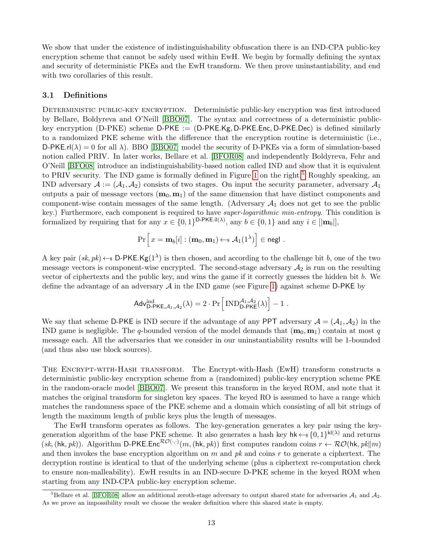<span id="page-12-2"></span>We show that under the existence of indistinguishability obfuscation there is an IND-CPA public-key encryption scheme that cannot be safely used within EwH. We begin by formally defining the syntax and security of deterministic PKEs and the EwH transform. We then prove uninstantiability, and end with two corollaries of this result.

#### <span id="page-12-0"></span>3.1 Definitions

Deterministic public-key encryption. Deterministic public-key encryption was first introduced by Bellare, Boldyreva and O'Neill [\[BBO07\]](#page-27-5). The syntax and correctness of a deterministic publickey encryption (D-PKE) scheme D-PKE := (D-PKE.Kg, D-PKE.Enc, D-PKE.Dec) is defined similarly to a randomized PKE scheme with the difference that the encryption routine is deterministic (i.e.,  $D-PKE.rI(\lambda) = 0$  for all  $\lambda$ ). BBO [\[BBO07\]](#page-27-5) model the security of D-PKEs via a form of simulation-based notion called PRIV. In later works, Bellare et al. [\[BFOR08\]](#page-28-3) and independently Boldyreva, Fehr and O'Neill [\[BFO08\]](#page-28-4) introduce an indistinguishability-based notion called IND and show that it is equivalent to PRIV security. The IND game is formally defined in Figure [1](#page-10-0) on the right.<sup>[5](#page-12-1)</sup> Roughly speaking, an IND adversary  $A := (\mathcal{A}_1, \mathcal{A}_2)$  consists of two stages. On input the security parameter, adversary  $\mathcal{A}_1$ outputs a pair of message vectors  $(m_0, m_1)$  of the same dimension that have distinct components and component-wise contain messages of the same length. (Adversary  $A_1$  does not get to see the public key.) Furthermore, each component is required to have super-logarithmic min-entropy. This condition is formalized by requiring that for any  $x \in \{0,1\}^{\mathsf{D-PKE},\mathsf{il}(\lambda)}$ , any  $b \in \{0,1\}$  and any  $i \in [\mathbf{m}_b]$ ,

$$
\Pr\left[x = \mathbf{m}_b[i] : (\mathbf{m}_0, \mathbf{m}_1) \leftarrow \mathbf{s} \mathcal{A}_1(1^{\lambda})\right] \in \mathsf{negl}.
$$

A key pair  $(sk, pk) \leftarrow s$  D-PKE.Kg(1<sup> $\lambda$ </sup>) is then chosen, and according to the challenge bit b, one of the two message vectors is component-wise encrypted. The second-stage adversary  $\mathcal{A}_2$  is run on the resulting vector of ciphertexts and the public key, and wins the game if it correctly guesses the hidden bit b. We define the advantage of an adversary  $A$  in the IND game (see Figure [1\)](#page-10-0) against scheme D-PKE by

$$
\mathsf{Adv}_{\mathsf{D-PKE},\mathcal{A}_1,\mathcal{A}_2}^{\mathrm{ind}}(\lambda) = 2\cdot \Pr\Big[\, \mathrm{IND}^{\mathcal{A}_1,\mathcal{A}_2}_{\mathsf{D-PKE}}(\lambda) \Big] - 1\,\,.
$$

We say that scheme D-PKE is IND secure if the advantage of any PPT adversary  $A = (A_1, A_2)$  in the IND game is negligible. The q-bounded version of the model demands that  $(\mathbf{m}_0, \mathbf{m}_1)$  contain at most q message each. All the adversaries that we consider in our uninstantiability results will be 1-bounded (and thus also use block sources).

The Encrypt-with-Hash transform. The Encrypt-with-Hash (EwH) transform constructs a deterministic public-key encryption scheme from a (randomized) public-key encryption scheme PKE in the random-oracle model [\[BBO07\]](#page-27-5). We present this transform in the keyed ROM, and note that it matches the original transform for singleton key spaces. The keyed RO is assumed to have a range which matches the randomness space of the PKE scheme and a domain which consisting of all bit strings of length the maximum length of public keys plus the length of messages.

The EwH transform operates as follows. The key-generation generates a key pair using the keygeneration algorithm of the base PKE scheme. It also generates a hash key  $\mathsf{hk} \leftarrow s \{0,1\}^{\mathsf{kl}(\lambda)}$  and returns  $(s_k(hk, pk))$ . Algorithm D-PKE.Enc<sup> $\mathcal{RO}(\cdot, \cdot)(m, (hk, pk))$  first computes random coins  $r \leftarrow \mathcal{RO}(hk, pk|m)$ </sup> and then invokes the base encryption algorithm on  $m$  and  $pk$  and coins  $r$  to generate a ciphertext. The decryption routine is identical to that of the underlying scheme (plus a ciphertext re-computation check to ensure non-malleability). EwH results in an IND-secure D-PKE scheme in the keyed ROM when starting from any IND-CPA public-key encryption scheme.

<span id="page-12-1"></span><sup>&</sup>lt;sup>5</sup>Bellare et al. [\[BFOR08\]](#page-28-3) allow an additional zeroth-stage adversary to output shared state for adversaries  $A_1$  and  $A_2$ . As we prove an impossibility result we choose the weaker definition where this shared state is empty.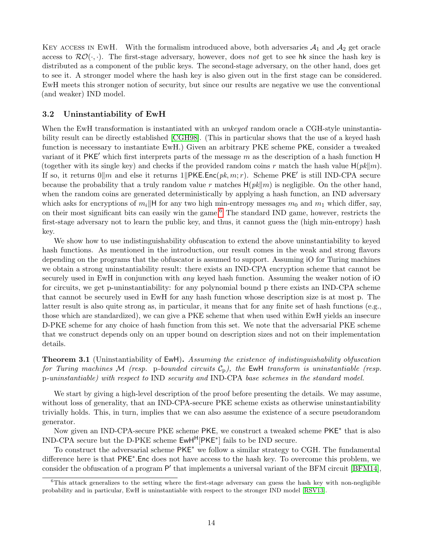<span id="page-13-3"></span>KEY ACCESS IN EWH. With the formalism introduced above, both adversaries  $\mathcal{A}_1$  and  $\mathcal{A}_2$  get oracle access to  $\mathcal{RO}(\cdot, \cdot)$ . The first-stage adversary, however, does not get to see hk since the hash key is distributed as a component of the public keys. The second-stage adversary, on the other hand, does get to see it. A stronger model where the hash key is also given out in the first stage can be considered. EwH meets this stronger notion of security, but since our results are negative we use the conventional (and weaker) IND model.

#### <span id="page-13-0"></span>3.2 Uninstantiability of EwH

When the EwH transformation is instantiated with an *unkeyed* random oracle a CGH-style uninstantiability result can be directly established [\[CGH98\]](#page-30-0). (This in particular shows that the use of a keyed hash function is necessary to instantiate EwH.) Given an arbitrary PKE scheme PKE, consider a tweaked variant of it PKE<sup> $\prime$ </sup> which first interprets parts of the message m as the description of a hash function H (together with its single key) and checks if the provided random coins r match the hash value  $H(pk||m)$ . If so, it returns  $0||m$  and else it returns  $1||PKEEnc(pk, m; r)$ . Scheme PKE' is still IND-CPA secure because the probability that a truly random value r matches  $H(pk||m)$  is negligible. On the other hand, when the random coins are generated deterministically by applying a hash function, an IND adversary which asks for encryptions of  $m_i||H$  for any two high min-entropy messages  $m_0$  and  $m_1$  which differ, say, on their most significant bits can easily win the game.[6](#page-13-1) The standard IND game, however, restricts the first-stage adversary not to learn the public key, and thus, it cannot guess the (high min-entropy) hash key.

We show how to use indistinguishability obfuscation to extend the above uninstantiability to keyed hash functions. As mentioned in the introduction, our result comes in the weak and strong flavors depending on the programs that the obfuscator is assumed to support. Assuming iO for Turing machines we obtain a strong uninstantiability result: there exists an IND-CPA encryption scheme that cannot be securely used in EwH in conjunction with *any* keyed hash function. Assuming the weaker notion of iO for circuits, we get p-uninstantiability: for any polynomial bound p there exists an IND-CPA scheme that cannot be securely used in EwH for any hash function whose description size is at most p. The latter result is also quite strong as, in particular, it means that for any finite set of hash functions (e.g., those which are standardized), we can give a PKE scheme that when used within EwH yields an insecure D-PKE scheme for any choice of hash function from this set. We note that the adversarial PKE scheme that we construct depends only on an upper bound on description sizes and not on their implementation details.

<span id="page-13-2"></span>**Theorem 3.1** (Uninstantiability of EwH). Assuming the existence of indistinguishability obfuscation for Turing machines M (resp. p-bounded circuits  $\mathcal{C}_{\rm p}$ ), the EwH transform is uninstantiable (resp. p-uninstantiable) with respect to IND security and IND-CPA base schemes in the standard model.

We start by giving a high-level description of the proof before presenting the details. We may assume, without loss of generality, that an IND-CPA-secure PKE scheme exists as otherwise uninstantiability trivially holds. This, in turn, implies that we can also assume the existence of a secure pseudorandom generator.

Now given an IND-CPA-secure PKE scheme PKE, we construct a tweaked scheme PKE<sup>\*</sup> that is also IND-CPA secure but the D-PKE scheme  $\text{EwH}^{\text{H}}[\text{PKE}^*]$  fails to be IND secure.

To construct the adversarial scheme PKE<sup>∗</sup> we follow a similar strategy to CGH. The fundamental difference here is that PKE<sup>∗</sup> .Enc does not have access to the hash key. To overcome this problem, we consider the obfuscation of a program  $P'$  that implements a universal variant of the BFM circuit [\[BFM14\]](#page-28-1),

<span id="page-13-1"></span> ${}^{6}$ This attack generalizes to the setting where the first-stage adversary can guess the hash key with non-negligible probability and in particular, EwH is uninstantiable with respect to the stronger IND model [\[RSV13\]](#page-32-7).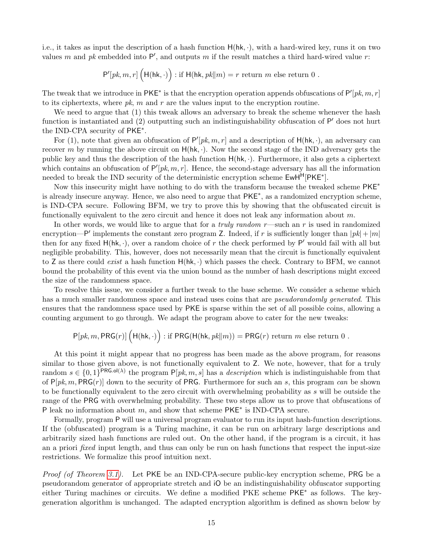i.e., it takes as input the description of a hash function  $H(hk, \cdot)$ , with a hard-wired key, runs it on two values m and pk embedded into  $P'$ , and outputs m if the result matches a third hard-wired value r:

$$
\mathsf{P}'[pk,m,r]\left(\mathsf{H}(\mathsf{hk},\cdot)\right) : \text{if } \mathsf{H}(\mathsf{hk},pk\|m)=r \text{ return } m \text{ else return } 0 \text{ .}
$$

The tweak that we introduce in PKE<sup>\*</sup> is that the encryption operation appends obfuscations of  $P'[pk, m, r]$ to its ciphertexts, where  $pk$ ,  $m$  and  $r$  are the values input to the encryption routine.

We need to argue that (1) this tweak allows an adversary to break the scheme whenever the hash function is instantiated and  $(2)$  outputting such an indistinguishability obfuscation of  $P'$  does not hurt the IND-CPA security of PKE<sup>∗</sup> .

For (1), note that given an obfuscation of  $P'[pk, m, r]$  and a description of  $H(hk, \cdot)$ , an adversary can recover m by running the above circuit on  $H(hk, \cdot)$ . Now the second stage of the IND adversary gets the public key and thus the description of the hash function  $H(hk, \cdot)$ . Furthermore, it also gets a ciphertext which contains an obfuscation of  $P'[pk, m, r]$ . Hence, the second-stage adversary has all the information needed to break the IND security of the deterministic encryption scheme  $\text{EwH}^H[\text{PKE}^*]$ .

Now this insecurity might have nothing to do with the transform because the tweaked scheme PKE<sup>∗</sup> is already insecure anyway. Hence, we also need to argue that PKE<sup>∗</sup> , as a randomized encryption scheme, is IND-CPA secure. Following BFM, we try to prove this by showing that the obfuscated circuit is functionally equivalent to the zero circuit and hence it does not leak any information about  $m$ .

In other words, we would like to argue that for a *truly random r*—such an r is used in randomized encryption—P' implements the constant zero program Z. Indeed, if r is sufficiently longer than  $|pk| + |m|$ then for any fixed  $H(hk, \cdot)$ , over a random choice of r the check performed by  $P'$  would fail with all but negligible probability. This, however, does not necessarily mean that the circuit is functionally equivalent to Z as there could *exist* a hash function  $H(hk, \cdot)$  which passes the check. Contrary to BFM, we cannot bound the probability of this event via the union bound as the number of hash descriptions might exceed the size of the randomness space.

To resolve this issue, we consider a further tweak to the base scheme. We consider a scheme which has a much smaller randomness space and instead uses coins that are *pseudorandomly generated*. This ensures that the randomness space used by PKE is sparse within the set of all possible coins, allowing a counting argument to go through. We adapt the program above to cater for the new tweaks:

$$
P[pk, m, PRG(r)] (H(hk, \cdot)) : \text{if } PRG(H(hk, pk||m)) = PRG(r) \text{ return } m \text{ else return } 0.
$$

At this point it might appear that no progress has been made as the above program, for reasons similar to those given above, is not functionally equivalent to Z. We note, however, that for a truly random  $s \in \{0,1\}^{\mathsf{PRG.ol}(\lambda)}$  the program  $\mathsf{P}[pk, m, s]$  has a *description* which is indistinguishable from that of  $P[pk, m, PRG(r)]$  down to the security of PRG. Furthermore for such an s, this program can be shown to be functionally equivalent to the zero circuit with overwhelming probability as s will be outside the range of the PRG with overwhelming probability. These two steps allow us to prove that obfuscations of P leak no information about  $m$ , and show that scheme  $PKE^*$  is IND-CPA secure.

Formally, program P will use a universal program evaluator to run its input hash-function descriptions. If the (obfuscated) program is a Turing machine, it can be run on arbitrary large descriptions and arbitrarily sized hash functions are ruled out. On the other hand, if the program is a circuit, it has an a priori fixed input length, and thus can only be run on hash functions that respect the input-size restrictions. We formalize this proof intuition next.

Proof (of Theorem [3.1\)](#page-13-2). Let PKE be an IND-CPA-secure public-key encryption scheme, PRG be a pseudorandom generator of appropriate stretch and iO be an indistinguishability obfuscator supporting either Turing machines or circuits. We define a modified PKE scheme PKE<sup>\*</sup> as follows. The keygeneration algorithm is unchanged. The adapted encryption algorithm is defined as shown below by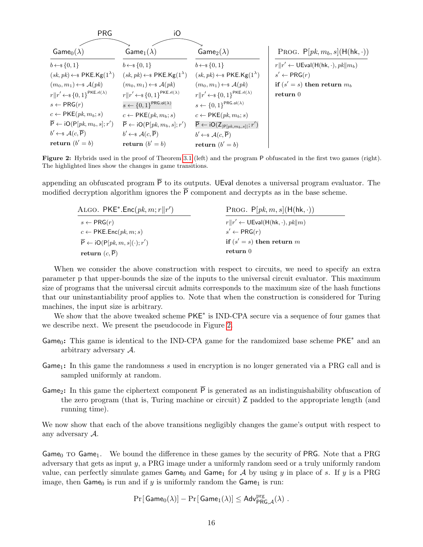<span id="page-15-0"></span>

| <b>PRG</b>                                                       | iO                                                               |                                                                                         |                                                                                    |
|------------------------------------------------------------------|------------------------------------------------------------------|-----------------------------------------------------------------------------------------|------------------------------------------------------------------------------------|
| $\mathsf{Game}_0(\lambda)$                                       | Game <sub>1</sub> $(\lambda)$                                    | $\mathsf{Game}_2(\lambda)$                                                              | PROG. $P[pk, m_b, s](H(hk, \cdot))$                                                |
| $b \leftarrow s \{0, 1\}$                                        | $b \leftarrow s \{0, 1\}$                                        | $b \leftarrow s \{0, 1\}$                                                               | $r  r' \leftarrow \mathsf{UEval}(\mathsf{H}(\mathsf{hk},\cdot), \mathit{pk}  m_b)$ |
| $(sk, pk) \leftarrow$ PKE.Kg(1 <sup><math>\lambda</math></sup> ) | $(sk, pk) \leftarrow$ PKE.Kg(1 <sup><math>\lambda</math></sup> ) | $(sk, pk) \leftarrow$ PKE.Kg(1 <sup><math>\lambda</math></sup> )                        | $s' \leftarrow PRG(r)$                                                             |
| $(m_0, m_1) \leftarrow \mathcal{A}(pk)$                          | $(m_0, m_1) \leftarrow \mathcal{A}(pk)$                          | $(m_0, m_1) \leftarrow \mathcal{A}(pk)$                                                 | if $(s' = s)$ then return $m_b$                                                    |
| $r\ r' \leftarrow \$ {0,1\}^{\text{PKE.rI}(\lambda)}             | $r  r' \leftarrow \S \{0,1\}^{PKE.rI(\lambda)}$                  | $r  r' \leftarrow \S\{0,1\}^{PKE.rI(\lambda)}$                                          | return 0                                                                           |
| $s \leftarrow PRG(r)$                                            | $s \leftarrow \{0, 1\}^{\mathsf{PRG.ol}(\lambda)}$               | $s \leftarrow \{0, 1\}^{\text{PRG.ol}(\lambda)}$                                        |                                                                                    |
| $c \leftarrow \mathsf{PKE}(pk, m_b; s)$                          | $c \leftarrow \mathsf{PKE}(pk, m_b; s)$                          | $c \leftarrow \mathsf{PKE}(pk, m_b; s)$                                                 |                                                                                    |
| $\overline{P} \leftarrow \text{iO}(P[pk, m_b, s]; r')$           | $\overline{P} \leftarrow \text{iO}(P[pk, m_b, s]; r')$           | $\overline{\mathsf{P}} \leftarrow \mathsf{iO}(\mathsf{Z}_{\mathsf{ P[pk,m_b,s]} }; r')$ |                                                                                    |
| $b' \leftarrow \mathcal{A}(c, \overline{P})$                     | $b' \leftarrow \mathcal{A}(c, \overline{P})$                     | $b' \leftarrow \mathcal{A}(c, \overline{P})$                                            |                                                                                    |
| return $(b' = b)$                                                | return $(b' = b)$                                                | return $(b' = b)$                                                                       |                                                                                    |

Figure 2: Hybrids used in the proof of Theorem [3.1](#page-13-2) (left) and the program P obfuscated in the first two games (right). The highlighted lines show the changes in game transitions.

appending an obfuscated program  $\overline{P}$  to its outputs. UEval denotes a universal program evaluator. The modified decryption algorithm ignores the  $\overline{P}$  component and decrypts as in the base scheme.

| ALGO. PKE <sup>*</sup> .Enc( $pk, m; r  r'$ )        | PROG. $P[pk, m, s](H(hk, \cdot))$                                  |
|------------------------------------------------------|--------------------------------------------------------------------|
| $s \leftarrow \textsf{PRG}(r)$                       | $r  r' \leftarrow \text{UEval}(\text{H(hk}, \cdot), \text{pk}  m)$ |
| $c \leftarrow \mathsf{PKE}.\mathsf{Enc}(pk, m; s)$   | $s' \leftarrow PRG(r)$                                             |
| $\overline{P} \leftarrow iO(P[pk, m, s](\cdot); r')$ | if $(s' = s)$ then return m                                        |
| return $(c, \overline{P})$                           | return 0                                                           |

When we consider the above construction with respect to circuits, we need to specify an extra parameter p that upper-bounds the size of the inputs to the universal circuit evaluator. This maximum size of programs that the universal circuit admits corresponds to the maximum size of the hash functions that our uninstantiability proof applies to. Note that when the construction is considered for Turing machines, the input size is arbitrary.

We show that the above tweaked scheme  $PKE^*$  is IND-CPA secure via a sequence of four games that we describe next. We present the pseudocode in Figure [2.](#page-15-0)

- Game<sub>0</sub>: This game is identical to the IND-CPA game for the randomized base scheme  $PKE^*$  and an arbitrary adversary A.
- **Game**<sub>1</sub>: In this game the randomness s used in encryption is no longer generated via a PRG call and is sampled uniformly at random.
- Game<sub>2</sub>: In this game the ciphertext component  $\overline{P}$  is generated as an indistinguishability obfuscation of the zero program (that is, Turing machine or circuit) Z padded to the appropriate length (and running time).

We now show that each of the above transitions negligibly changes the game's output with respect to any adversary A.

Game<sub>0</sub> TO Game<sub>1</sub>. We bound the difference in these games by the security of PRG. Note that a PRG adversary that gets as input  $y$ , a PRG image under a uniformly random seed or a truly uniformly random value, can perfectly simulate games  $Game_0$  and  $Game_1$  for A by using y in place of s. If y is a PRG image, then  $Game_0$  is run and if y is uniformly random the  $Game_1$  is run:

 $\Pr[\mathsf{Game}_0(\lambda)] - \Pr[\mathsf{Game}_1(\lambda)] \leq \mathsf{Adv}_{\mathsf{PRG},\mathcal{A}}^{\mathrm{prg}}(\lambda)$  .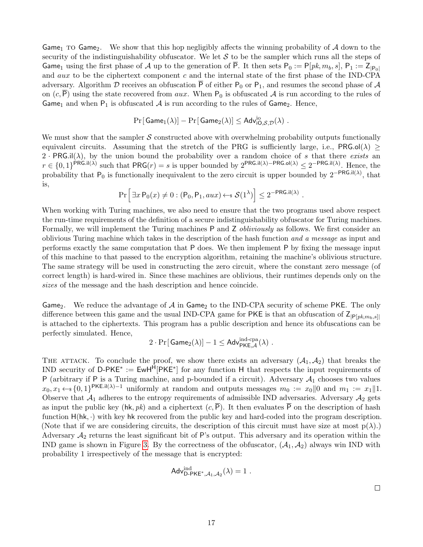Game<sub>1</sub> TO Game<sub>2</sub>. We show that this hop negligibly affects the winning probability of A down to the security of the indistinguishability obfuscator. We let  $S$  to be the sampler which runs all the steps of Game<sub>1</sub> using the first phase of A up to the generation of  $\overline{P}$ . It then sets  $P_0 := P[pk, m_b, s]$ ,  $P_1 := Z_{|P_0|}$ and aux to be the ciphertext component c and the internal state of the first phase of the IND-CPA adversary. Algorithm  $\mathcal D$  receives an obfuscation  $\bar{P}$  of either  $P_0$  or  $P_1$ , and resumes the second phase of  $\mathcal A$ on  $(c, \overline{P})$  using the state recovered from *aux*. When  $P_0$  is obfuscated A is run according to the rules of Game<sub>1</sub> and when  $P_1$  is obfuscated A is run according to the rules of Game<sub>2</sub>. Hence,

$$
\Pr[\mathsf{Game}_1(\lambda)] - \Pr[\mathsf{Game}_2(\lambda)] \leq \mathsf{Adv}_{\mathsf{IO},\mathcal{S},\mathcal{D}}^{\mathrm{io}}(\lambda) \; .
$$

We must show that the sampler  $\mathcal S$  constructed above with overwhelming probability outputs functionally equivalent circuits. Assuming that the stretch of the PRG is sufficiently large, i.e., PRG.ol( $\lambda$ )  $\geq$ 2 · PRG.il( $\lambda$ ), by the union bound the probability over a random choice of s that there exists an  $r \in \{0,1\}^{\mathsf{PRG},\mathsf{il}(\lambda)}$  such that  $\mathsf{PRG}(r) = s$  is upper bounded by  $2^{\mathsf{PRG},\mathsf{il}(\lambda)-\mathsf{PRG},\mathsf{ol}(\lambda)} \leq 2^{-\mathsf{PRG},\mathsf{il}(\lambda)}$ . Hence, the probability that  $P_0$  is functionally inequivalent to the zero circuit is upper bounded by  $2^{-PRG.i}(\lambda)$ , that is,

$$
\Pr\Big[\exists x \, \mathsf{P}_0(x) \neq 0 : (\mathsf{P}_0, \mathsf{P}_1, aux) \leftarrow \mathsf{s} \, \mathcal{S}(1^\lambda)\Big] \leq 2^{-\mathsf{PRG}.i(\lambda)}\ .
$$

When working with Turing machines, we also need to ensure that the two programs used above respect the run-time requirements of the definition of a secure indistinguishability obfuscator for Turing machines. Formally, we will implement the Turing machines P and Z obliviously as follows. We first consider an oblivious Turing machine which takes in the description of the hash function and a message as input and performs exactly the same computation that P does. We then implement P by fixing the message input of this machine to that passed to the encryption algorithm, retaining the machine's oblivious structure. The same strategy will be used in constructing the zero circuit, where the constant zero message (of correct length) is hard-wired in. Since these machines are oblivious, their runtimes depends only on the sizes of the message and the hash description and hence coincide.

Game<sub>2</sub>. We reduce the advantage of  $A$  in Game<sub>2</sub> to the IND-CPA security of scheme PKE. The only difference between this game and the usual IND-CPA game for PKE is that an obfuscation of  $Z_{|P[pkm_b,s]|}$ is attached to the ciphertexts. This program has a public description and hence its obfuscations can be perfectly simulated. Hence,

$$
2\cdot \Pr[\mathsf{Game}_2(\lambda)] - 1 \leq \mathsf{Adv}_{\mathsf{PKE},\mathcal{A}}^{\mathrm{ind-cpa}}(\lambda) \; .
$$

THE ATTACK. To conclude the proof, we show there exists an adversary  $(A_1, A_2)$  that breaks the IND security of D-PKE<sup>\*</sup> :=  $EWH^H[PKE^*]$  for any function H that respects the input requirements of P (arbitrary if P is a Turing machine, and p-bounded if a circuit). Adversary  $A_1$  chooses two values  $x_0, x_1 \leftarrow \{0,1\}^{\textsf{PKE}, \text{il}(\lambda)-1}$  uniformly at random and outputs messages  $m_0 := x_0 \|0 \text{ and } m_1 := x_1 \|1$ . Observe that  $A_1$  adheres to the entropy requirements of admissible IND adversaries. Adversary  $A_2$  gets as input the public key (hk,  $pk$ ) and a ciphertext  $(c, \overline{P})$ . It then evaluates  $\overline{P}$  on the description of hash function  $H(hk, \cdot)$  with key hk recovered from the public key and hard-coded into the program description. (Note that if we are considering circuits, the description of this circuit must have size at most  $p(\lambda)$ .) Adversary  $A_2$  returns the least significant bit of P's output. This adversary and its operation within the IND game is shown in Figure [3.](#page-17-1) By the correctness of the obfuscator,  $(A_1, A_2)$  always win IND with probability 1 irrespectively of the message that is encrypted:

$$
\mathsf{Adv}_{\mathsf{D}\text{-}\mathsf{PKE}^*, \mathcal{A}_1, \mathcal{A}_2}^{\mathrm{ind}}(\lambda) = 1\ .
$$

 $\Box$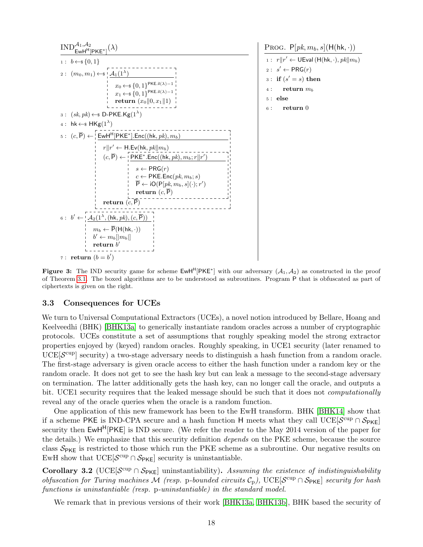<span id="page-17-2"></span><span id="page-17-1"></span>

Prog. P $|pk, m_b, s|$ (H(hk, ·)) 1 :  $r||r' \leftarrow \mathsf{UEval}\left(\mathsf{H}(\mathsf{hk}, \cdot), \mathsf{pk}||\mathsf{m}_{\mathsf{b}}\right)$  $2: s' \leftarrow PRG(r)$  $3:$  if  $(s' = s)$  then  $return m<sub>b</sub>$ <sup>5</sup> : else  $6:$  return  $0$ 

Figure 3: The IND security game for scheme  $EwH^H[PKE^*]$  with our adversary  $(A_1, A_2)$  as constructed in the proof of Theorem [3.1.](#page-13-2) The boxed algorithms are to be understood as subroutines. Program P that is obfuscated as part of ciphertexts is given on the right.

#### <span id="page-17-0"></span>3.3 Consequences for UCEs

We turn to Universal Computational Extractors (UCEs), a novel notion introduced by Bellare, Hoang and Keelveedhi (BHK) [\[BHK13a\]](#page-28-0) to generically instantiate random oracles across a number of cryptographic protocols. UCEs constitute a set of assumptions that roughly speaking model the strong extractor properties enjoyed by (keyed) random oracles. Roughly speaking, in UCE1 security (later renamed to  $\text{UCE}[\mathcal{S}^{\text{cup}}]$  security) a two-stage adversary needs to distinguish a hash function from a random oracle. The first-stage adversary is given oracle access to either the hash function under a random key or the random oracle. It does not get to see the hash key but can leak a message to the second-stage adversary on termination. The latter additionally gets the hash key, can no longer call the oracle, and outputs a bit. UCE1 security requires that the leaked message should be such that it does not *computationally* reveal any of the oracle queries when the oracle is a random function.

One application of this new framework has been to the EwH transform. BHK [\[BHK14\]](#page-29-8) show that if a scheme PKE is IND-CPA secure and a hash function H meets what they call UCE $[\mathcal{S}^{\text{cup}} \cap \mathcal{S}_{\text{PKE}}]$ security then EwH<sup>H</sup>[PKE] is IND secure. (We refer the reader to the May 2014 version of the paper for the details.) We emphasize that this security definition *depends* on the PKE scheme, because the source class  $S_{PKF}$  is restricted to those which run the PKE scheme as a subroutine. Our negative results on EwH show that UCE $[\mathcal{S}^{\text{cup}} \cap \mathcal{S}_{\text{PKE}}]$  security is uninstantiable.

Corollary 3.2 (UCE[ $S^{cup} \cap S_{PKE}$ ] uninstantiability). Assuming the existence of indistinguishability obfuscation for Turing machines M (resp. p-bounded circuits  $C_p$ ), UCE[ $S^{cup} \cap S_{PKE}$ ] security for hash functions is uninstantiable (resp. p-uninstantiable) in the standard model.

We remark that in previous versions of their work [\[BHK13a,](#page-28-0) [BHK13b\]](#page-28-9), BHK based the security of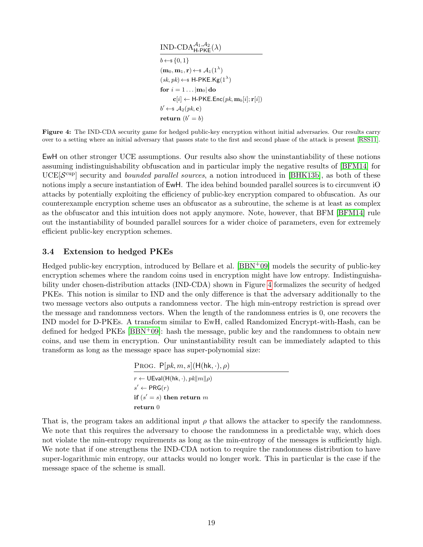IND-CDA $A^{A_1,A_2}_{\mathsf{H}\text{-}\mathsf{PKE}}(\lambda)$  $b \leftarrow s \{0, 1\}$  $(\mathbf{m}_0, \mathbf{m}_1, \mathbf{r}) \leftarrow \mathcal{A}_1(1^{\lambda})$  $(sk, pk) \leftarrow s$  H-PKE.Kg(1<sup> $\lambda$ </sup>) for  $i = 1 \dots |m_0|$  do  $c[i] \leftarrow H\text{-}PKE\text{.Enc}(pk, m_b[i]; r[i])$  $b' \leftarrow \mathcal{A}_2(pk, \mathbf{c})$ return  $(b' = b)$ 

<span id="page-18-2"></span><span id="page-18-1"></span>Figure 4: The IND-CDA security game for hedged public-key encryption without initial adversaries. Our results carry over to a setting where an initial adversary that passes state to the first and second phase of the attack is present [\[RSS11\]](#page-32-8).

EwH on other stronger UCE assumptions. Our results also show the uninstantiability of these notions assuming indistinguishability obfuscation and in particular imply the negative results of [\[BFM14\]](#page-28-1) for  $\text{UCE}[\mathcal{S}^{\text{cup}}]$  security and *bounded parallel sources*, a notion introduced in [\[BHK13b\]](#page-28-9), as both of these notions imply a secure instantiation of EwH. The idea behind bounded parallel sources is to circumvent iO attacks by potentially exploiting the efficiency of public-key encryption compared to obfuscation. As our counterexample encryption scheme uses an obfuscator as a subroutine, the scheme is at least as complex as the obfuscator and this intuition does not apply anymore. Note, however, that BFM [\[BFM14\]](#page-28-1) rule out the instantiability of bounded parallel sources for a wider choice of parameters, even for extremely efficient public-key encryption schemes.

#### <span id="page-18-0"></span>3.4 Extension to hedged PKEs

Hedged public-key encryption, introduced by Bellare et al. [\[BBN](#page-27-6)+09] models the security of public-key encryption schemes where the random coins used in encryption might have low entropy. Indistinguishability under chosen-distribution attacks (IND-CDA) shown in Figure [4](#page-18-1) formalizes the security of hedged PKEs. This notion is similar to IND and the only difference is that the adversary additionally to the two message vectors also outputs a randomness vector. The high min-entropy restriction is spread over the message and randomness vectors. When the length of the randomness entries is 0, one recovers the IND model for D-PKEs. A transform similar to EwH, called Randomized Encrypt-with-Hash, can be defined for hedged PKEs [\[BBN](#page-27-6)+09]: hash the message, public key and the randomness to obtain new coins, and use them in encryption. Our uninstantiability result can be immediately adapted to this transform as long as the message space has super-polynomial size:

> Prog.  $P[pk, m, s]$ (H(hk, ·),  $\rho$ )  $r \leftarrow \mathsf{UEval}(\mathsf{H}(\mathsf{hk},\cdot), \mathit{pk}||m||\mathit{o})$  $s' \leftarrow \textsf{PRG}(r)$ if  $(s' = s)$  then return m return 0

That is, the program takes an additional input  $\rho$  that allows the attacker to specify the randomness. We note that this requires the adversary to choose the randomness in a predictable way, which does not violate the min-entropy requirements as long as the min-entropy of the messages is sufficiently high. We note that if one strengthens the IND-CDA notion to require the randomness distribution to have super-logarithmic min entropy, our attacks would no longer work. This in particular is the case if the message space of the scheme is small.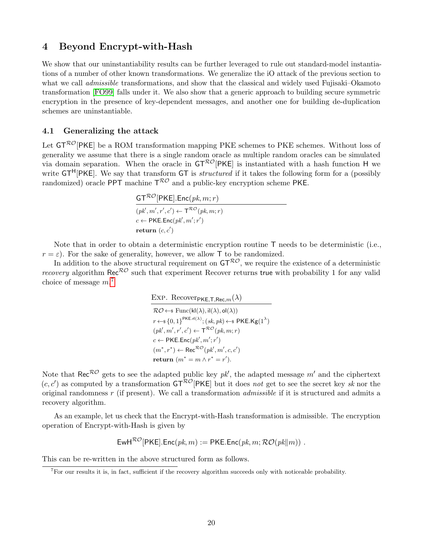## <span id="page-19-3"></span><span id="page-19-0"></span>4 Beyond Encrypt-with-Hash

We show that our uninstantiability results can be further leveraged to rule out standard-model instantiations of a number of other known transformations. We generalize the iO attack of the previous section to what we call *admissible* transformations, and show that the classical and widely used Fujisaki–Okamoto transformation [\[FO99\]](#page-30-9) falls under it. We also show that a generic approach to building secure symmetric encryption in the presence of key-dependent messages, and another one for building de-duplication schemes are uninstantiable.

#### <span id="page-19-1"></span>4.1 Generalizing the attack

Let  $GT^{RO}[PKE]$  be a ROM transformation mapping PKE schemes to PKE schemes. Without loss of generality we assume that there is a single random oracle as multiple random oracles can be simulated via domain separation. When the oracle in  $GT^{\mathcal{RO}}[PKE]$  is instantiated with a hash function H we write  $GT^H[PKE]$ . We say that transform  $GT$  is *structured* if it takes the following form for a (possibly randomized) oracle PPT machine  $T^{\mathcal{RO}}$  and a public-key encryption scheme PKE.

$$
\frac{\mathsf{GT}^{\mathcal{RO}}[\mathsf{PKE}].\mathsf{Enc}(pk, m; r)}{(pk', m', r', c') \leftarrow \mathsf{T}^{\mathcal{RO}}(pk, m; r)}
$$
\n
$$
c \leftarrow \mathsf{PKE}.\mathsf{Enc}(pk', m'; r')
$$
\nreturn  $(c, c')$ 

Note that in order to obtain a deterministic encryption routine T needs to be deterministic (i.e.,  $r = \varepsilon$ ). For the sake of generality, however, we allow T to be randomized.

In addition to the above structural requirement on  $GT^{\mathcal{RO}}$ , we require the existence of a deterministic *recovery* algorithm Rec<sup> $\mathcal{R}^{\mathcal{O}}$  such that experiment Recover returns true with probability 1 for any valid</sup> choice of message  $m$ <sup>[7](#page-19-2)</sup>

$$
\begin{array}{l} \text{EXP. RecoveryFKE,T,Rec,} \\ \hline \mathcal{RO} \leftarrow & \text{Func}(\mathsf{k}(\lambda), \mathsf{il}(\lambda), \mathsf{ol}(\lambda)) \\ r \leftarrow & \{0, 1\}^{P\mathsf{KE}, \mathsf{rl}(\lambda)}; (sk, pk) \leftarrow & \mathsf{PKE} \cdot \mathsf{Kg}(1^{\lambda}) \\ (pk', m', r', c') \leftarrow \mathsf{T}^{\mathcal{RO}}(pk, m; r) \\ c \leftarrow \mathsf{PKE} \cdot \mathsf{Enc}(pk', m'; r') \\ (m^*, r^*) \leftarrow \mathsf{Rec}^{\mathcal{RO}}(pk, m', c, c') \\ \textbf{return} \ (m^* = m \land r^* = r'). \end{array}
$$

Note that Rec<sup> $\mathcal{R}^{\mathcal{O}}$ </sup> gets to see the adapted public key  $pk'$ , the adapted message  $m'$  and the ciphertext  $(c, c')$  as computed by a transformation  $GT^{RO}$ [PKE] but it does not get to see the secret key sk nor the original randomness  $r$  (if present). We call a transformation *admissible* if it is structured and admits a recovery algorithm.

As an example, let us check that the Encrypt-with-Hash transformation is admissible. The encryption operation of Encrypt-with-Hash is given by

$$
\mathsf{EwH}^{\mathcal{RO}}[\mathsf{PKE}].\mathsf{Enc}(pk, m) := \mathsf{PKE}.\mathsf{Enc}(pk, m; \mathcal{RO}(pk||m)) .
$$

This can be re-written in the above structured form as follows.

<span id="page-19-2"></span><sup>&</sup>lt;sup>7</sup>For our results it is, in fact, sufficient if the recovery algorithm succeeds only with noticeable probability.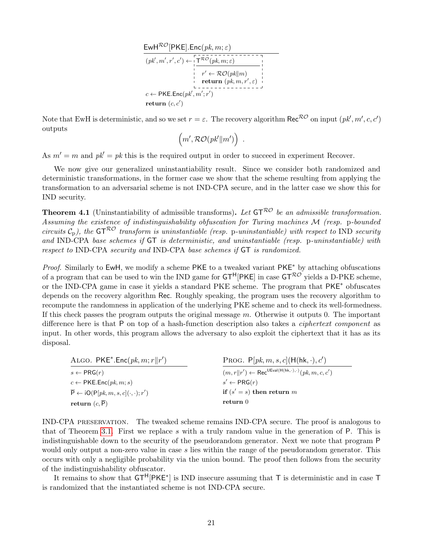$$
\frac{\text{EwH}^{\mathcal{RO}}[\text{PKE}].\text{Enc}(pk, m; \varepsilon)}{(pk', m', r', c') \leftarrow \left[ \frac{\overline{\text{T}^{\mathcal{RO}}}(pk, m; \varepsilon)}{\overline{\text{T}^{\mathcal{RO}}}(pk, m; \varepsilon)} \right]
$$
\n
$$
r' \leftarrow \mathcal{RO}(pk||m)
$$
\nreturn  $(pk, m, r', \varepsilon)$ \n
$$
c \leftarrow \text{PKE}.\text{Enc}(pk', m'; r')
$$
\nreturn  $(c, c')$ 

Note that EwH is deterministic, and so we set  $r = \varepsilon$ . The recovery algorithm Rec<sup>RO</sup> on input  $(pk', m', c, c')$ outputs

$$
\Big(m',\mathcal{RO}(pk'\|m')\Big)\enspace.
$$

As  $m' = m$  and  $pk' = pk$  this is the required output in order to succeed in experiment Recover.

We now give our generalized uninstantiability result. Since we consider both randomized and deterministic transformations, in the former case we show that the scheme resulting from applying the transformation to an adversarial scheme is not IND-CPA secure, and in the latter case we show this for IND security.

<span id="page-20-0"></span>**Theorem 4.1** (Uninstantiability of admissible transforms). Let  $GT^{RO}$  be an admissible transformation. Assuming the existence of indistinguishability obfuscation for Turing machines M (resp. p-bounded circuits  $C_p$ ), the GT<sup>RO</sup> transform is uninstantiable (resp. p-uninstantiable) with respect to IND security and IND-CPA base schemes if GT is deterministic, and uninstantiable (resp. p-uninstantiable) with respect to IND-CPA security and IND-CPA base schemes if GT is randomized.

*Proof.* Similarly to EwH, we modify a scheme PKE to a tweaked variant PKE<sup>∗</sup> by attaching obfuscations of a program that can be used to win the IND game for  $GT^H[PKE]$  in case  $GT^{\mathcal{RO}}$  yields a D-PKE scheme, or the IND-CPA game in case it yields a standard PKE scheme. The program that PKE<sup>\*</sup> obfuscates depends on the recovery algorithm Rec. Roughly speaking, the program uses the recovery algorithm to recompute the randomness in application of the underlying PKE scheme and to check its well-formedness. If this check passes the program outputs the original message  $m$ . Otherwise it outputs 0. The important difference here is that P on top of a hash-function description also takes a *ciphertext component* as input. In other words, this program allows the adversary to also exploit the ciphertext that it has as its disposal.

| ALGO. PKE <sup>*</sup> .Enc( $pk, m; r  r'$ )                  | PROG. P[ $pk, m, s, c$ ](H(hk, ·), c')                                                   |
|----------------------------------------------------------------|------------------------------------------------------------------------------------------|
| $s \leftarrow \textsf{PRG}(r)$                                 | $(m,r  r') \leftarrow \text{Rec}^{\text{UEval}(\text{H(hk},\cdot),\cdot)}(pk, m, c, c')$ |
| $c \leftarrow \mathsf{PKE}.\mathsf{Enc}(pk, m; s)$             | $s' \leftarrow PRG(r)$                                                                   |
| $\overline{P} \leftarrow iO(P[pk, m, s, c](\cdot, \cdot); r')$ | if $(s' = s)$ then return m                                                              |
| return $(c, P)$                                                | return 0                                                                                 |

IND-CPA preservation. The tweaked scheme remains IND-CPA secure. The proof is analogous to that of Theorem [3.1.](#page-13-2) First we replace s with a truly random value in the generation of P. This is indistinguishable down to the security of the pseudorandom generator. Next we note that program P would only output a non-zero value in case s lies within the range of the pseudorandom generator. This occurs with only a negligible probability via the union bound. The proof then follows from the security of the indistinguishability obfuscator.

It remains to show that  $GT^H[PKE^*]$  is IND insecure assuming that T is deterministic and in case T is randomized that the instantiated scheme is not IND-CPA secure.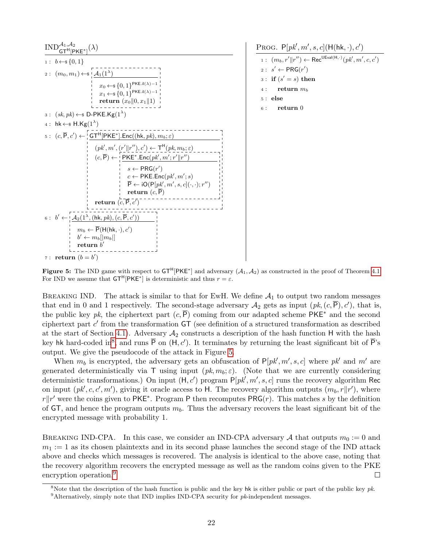<span id="page-21-1"></span>



Figure 5: The IND game with respect to  $GT^H[PKE^*]$  and adversary  $(A_1, A_2)$  as constructed in the proof of Theorem [4.1.](#page-20-0) For IND we assume that  $GT^H[PKE^*]$  is deterministic and thus  $r = \varepsilon$ .

BREAKING IND. The attack is similar to that for EwH. We define  $A_1$  to output two random messages that end in 0 and 1 respectively. The second-stage adversary  $\mathcal{A}_2$  gets as input  $(pk, (c, \overline{P}), c')$ , that is, the public key pk, the ciphertext part  $(c, \overline{P})$  coming from our adapted scheme PKE<sup>\*</sup> and the second ciphertext part  $c'$  from the transformation  $GT$  (see definition of a structured transformation as described at the start of Section [4.1\)](#page-19-1). Adversary  $A_2$  constructs a description of the hash function H with the hash key hk hard-coded in<sup>[8](#page-21-0)</sup>, and runs  $\bar{P}$  on  $(H, c')$ . It terminates by returning the least significant bit of  $\bar{P}$ 's output. We give the pseudocode of the attack in Figure [5.](#page-21-1)

When  $m_b$  is encrypted, the adversary gets an obfuscation of  $P[pk', m', s, c]$  where  $pk'$  and m' are generated deterministically via T using input  $(pk, m_b; \varepsilon)$ . (Note that we are currently considering deterministic transformations.) On input  $(H, c')$  program  $P[pk', m', s, c]$  runs the recovery algorithm Rec on input  $(pk', c, c', m')$ , giving it oracle access to H. The recovery algorithm outputs  $(m_b, r||r')$ , where r||r' were the coins given to PKE<sup>∗</sup>. Program P then recomputes PRG(r). This matches s by the definition of GT, and hence the program outputs  $m_b$ . Thus the adversary recovers the least significant bit of the encrypted message with probability 1.

BREAKING IND-CPA. In this case, we consider an IND-CPA adversary A that outputs  $m_0 := 0$  and  $m_1 := 1$  as its chosen plaintexts and in its second phase launches the second stage of the IND attack above and checks which messages is recovered. The analysis is identical to the above case, noting that the recovery algorithm recovers the encrypted message as well as the random coins given to the PKE encryption operation.<sup>[9](#page-21-2)</sup>  $\Box$ 

<span id="page-21-0"></span><sup>&</sup>lt;sup>8</sup>Note that the description of the hash function is public and the key hk is either public or part of the public key pk.

<span id="page-21-2"></span><sup>&</sup>lt;sup>9</sup>Alternatively, simply note that IND implies IND-CPA security for  $pk$ -independent messages.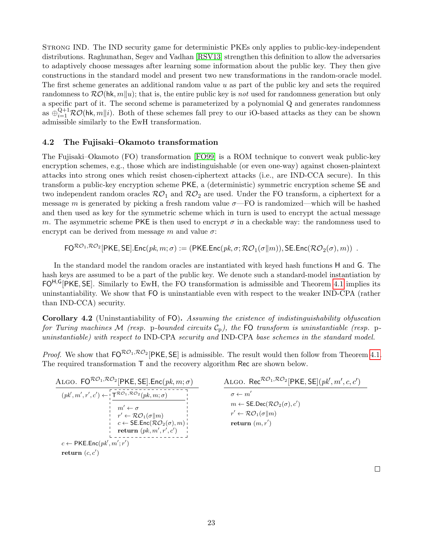<span id="page-22-2"></span>STRONG IND. The IND security game for deterministic PKEs only applies to public-key-independent distributions. Raghunathan, Segev and Vadhan [\[RSV13\]](#page-32-7) strengthen this definition to allow the adversaries to adaptively choose messages after learning some information about the public key. They then give constructions in the standard model and present two new transformations in the random-oracle model. The first scheme generates an additional random value  $u$  as part of the public key and sets the required randomness to  $\mathcal{RO}(hk, m||u)$ ; that is, the entire public key is not used for randomness generation but only a specific part of it. The second scheme is parameterized by a polynomial Q and generates randomness as  $\bigoplus_{i=1}^{Q+1} \mathcal{RO}(hk, m||i)$ . Both of these schemes fall prey to our iO-based attacks as they can be shown admissible similarly to the EwH transformation.

#### <span id="page-22-0"></span>4.2 The Fujisaki–Okamoto transformation

The Fujisaki–Okamoto (FO) transformation [\[FO99\]](#page-30-9) is a ROM technique to convert weak public-key encryption schemes, e.g., those which are indistinguishable (or even one-way) against chosen-plaintext attacks into strong ones which resist chosen-ciphertext attacks (i.e., are IND-CCA secure). In this transform a public-key encryption scheme PKE, a (deterministic) symmetric encryption scheme SE and two independent random oracles  $\mathcal{RO}_1$  and  $\mathcal{RO}_2$  are used. Under the FO transform, a ciphertext for a message m is generated by picking a fresh random value  $\sigma$ —FO is randomized—which will be hashed and then used as key for the symmetric scheme which in turn is used to encrypt the actual message m. The asymmetric scheme PKE is then used to encrypt  $\sigma$  in a checkable way: the randomness used to encrypt can be derived from message m and value  $\sigma$ :

 $\mathsf{FO}^{\mathcal{RO}_1,\mathcal{RO}_2}[\mathsf{PKE},\mathsf{SE}].\mathsf{Enc}(pk,m;\sigma) := (\mathsf{PKE}.\mathsf{Enc}(pk,\sigma;\mathcal{RO}_1(\sigma\|m)),\mathsf{SE}.\mathsf{Enc}(\mathcal{RO}_2(\sigma),m))\enspace.$ 

In the standard model the random oracles are instantiated with keyed hash functions H and G. The hash keys are assumed to be a part of the public key. We denote such a standard-model instantiation by FO<sup>H,G</sup>[PKE, SE]. Similarly to EwH, the FO transformation is admissible and Theorem [4.1](#page-20-0) implies its uninstantiability. We show that FO is uninstantiable even with respect to the weaker IND-CPA (rather than IND-CCA) security.

<span id="page-22-1"></span>Corollary 4.2 (Uninstantiability of FO). Assuming the existence of indistinguishability obfuscation for Turing machines M (resp. p-bounded circuits  $C_p$ ), the FO transform is uninstantiable (resp. puninstantiable) with respect to IND-CPA security and IND-CPA base schemes in the standard model.

*Proof.* We show that  $FO^{\mathcal{RO}_1,\mathcal{RO}_2}[\text{PKE},\text{SE}]$  is admissible. The result would then follow from Theorem [4.1.](#page-20-0) The required transformation T and the recovery algorithm Rec are shown below.

ALGO. FO<sup>RO<sub>1</sub>,RO<sub>2</sub></sup>[PKE, SE].Enc(
$$
pk, m; \sigma
$$
)  
\n( $pk', m', r', c'$ ) ←  $\frac{1}{1} \frac{1}{1} \frac{1}{1} \frac{1}{1} \frac{1}{1} \frac{1}{1} \frac{1}{1} \frac{1}{1} \frac{1}{1} \frac{1}{1} \frac{1}{1} \frac{1}{1} \frac{1}{1} \frac{1}{1} \frac{1}{1} \frac{1}{1} \frac{1}{1} \frac{1}{1} \frac{1}{1} \frac{1}{1} \frac{1}{1} \frac{1}{1} \frac{1}{1} \frac{1}{1} \frac{1}{1} \frac{1}{1} \frac{1}{1} \frac{1}{1} \frac{1}{1} \frac{1}{1} \frac{1}{1} \frac{1}{1} \frac{1}{1} \frac{1}{1} \frac{1}{1} \frac{1}{1} \frac{1}{1} \frac{1}{1} \frac{1}{1} \frac{1}{1} \frac{1}{1} \frac{1}{1} \frac{1}{1} \frac{1}{1} \frac{1}{1} \frac{1}{1} \frac{1}{1} \frac{1}{1} \frac{1}{1} \frac{1}{1} \frac{1}{1} \frac{1}{1} \frac{1}{1} \frac{1}{1} \frac{1}{1} \frac{1}{1} \frac{1}{1} \frac{1}{1} \frac{1}{1} \frac{1}{1} \frac{1}{1} \frac{1}{1} \frac{1}{1} \frac{1}{1} \frac{1}{1} \frac{1}{1} \frac{1}{1} \frac{1}{1} \frac{1}{1} \frac{1}{1} \frac{1}{1} \frac{1}{1} \frac{1}{1} \frac{1}{1} \frac{1}{1} \frac{1}{1} \frac{1}{1} \frac{1}{1} \frac{1}{1} \frac{1}{1} \frac{1}{1} \frac{1}{1} \frac{1}{1} \frac{1}{1} \frac{1}{1} \frac{1}{1} \frac{1}{1} \frac{1}{1} \frac{1}{1} \frac{1}{1} \frac{1}{1} \frac{1}{1} \frac{1}{1} \frac{1}{1} \frac{1}{1} \frac{1}{1} \frac{1}{1} \frac{1}{1} \frac{1}{1} \frac{1}{1}$ 

ALGO. Rec $^{\mathcal{RO}_1, \mathcal{RO}_2}$ [PKE, SE] $(pk', m', c, c')$  $\sigma \leftarrow m'$  $m \leftarrow \mathsf{SE}.\mathsf{Dec}(\mathcal{RO}_2(\sigma),c')$  $r' \leftarrow \mathcal{RO}_1(\sigma || m)$  $\mathbf{return} \; (m, r^{\prime})$ 

 $\Box$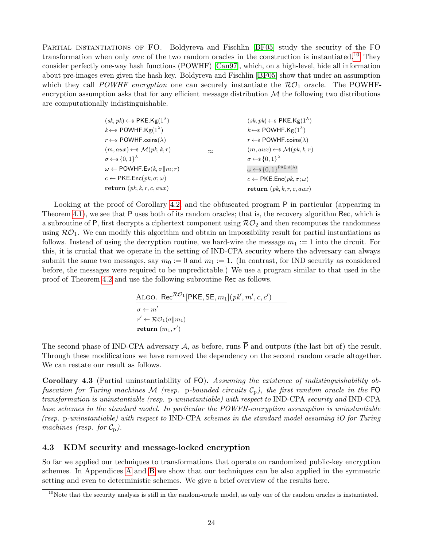<span id="page-23-2"></span>PARTIAL INSTANTIATIONS OF FO. Boldyreva and Fischlin [\[BF05\]](#page-28-5) study the security of the FO transformation when only one of the two random oracles in the construction is instantiated.<sup>[10](#page-23-1)</sup> They consider perfectly one-way hash functions (POWHF) [\[Can97\]](#page-30-10), which, on a high-level, hide all information about pre-images even given the hash key. Boldyreva and Fischlin [\[BF05\]](#page-28-5) show that under an assumption which they call *POWHF encryption* one can securely instantiate the  $\mathcal{RO}_1$  oracle. The POWHFencryption assumption asks that for any efficient message distribution  $M$  the following two distributions are computationally indistinguishable.

| $(sk, pk) \leftarrow$ PKE.Kg(1 <sup><math>\lambda</math></sup> ) |           | $(sk, pk) \leftarrow$ PKE.Kg(1 <sup><math>\lambda</math></sup> ) |
|------------------------------------------------------------------|-----------|------------------------------------------------------------------|
| $k \leftarrow s$ POWHF.Kg(1 <sup><math>\lambda</math></sup> )    |           | $k \leftarrow s$ POWHF.Kg(1 <sup><math>\lambda</math></sup> )    |
| $r \leftarrow s$ POWHF.coins( $\lambda$ )                        |           | $r \leftarrow s$ POWHF.coins( $\lambda$ )                        |
| $(m, aux) \leftarrow \mathcal{M}(pk, k, r)$                      | $\approx$ | $(m, aux) \leftarrow \mathcal{M}(pk, k, r)$                      |
| $\sigma \leftarrow \{0,1\}^{\lambda}$                            |           | $\sigma \leftarrow \{0,1\}^{\lambda}$                            |
| $\omega \leftarrow \text{POWHF.Ev}(k, \sigma    m; r)$           |           | $\omega \leftarrow \S\{0,1\}^{\mathsf{PKE.rI}(\lambda)}$         |
| $c \leftarrow \mathsf{PKE}.\mathsf{Enc}(pk, \sigma; \omega)$     |           | $c \leftarrow \mathsf{PKE}.\mathsf{Enc}(pk, \sigma; \omega)$     |
| return $(pk, k, r, c, aux)$                                      |           | return $(pk, k, r, c, aux)$                                      |

Looking at the proof of Corollary [4.2,](#page-22-1) and the obfuscated program P in particular (appearing in Theorem [4.1\)](#page-20-0), we see that P uses both of its random oracles; that is, the recovery algorithm Rec, which is a subroutine of P, first decrypts a ciphertext component using  $\mathcal{RO}_2$  and then recomputes the randomness using  $RO<sub>1</sub>$ . We can modify this algorithm and obtain an impossibility result for partial instantiations as follows. Instead of using the decryption routine, we hard-wire the message  $m_1 := 1$  into the circuit. For this, it is crucial that we operate in the setting of IND-CPA security where the adversary can always submit the same two messages, say  $m_0 := 0$  and  $m_1 := 1$ . (In contrast, for IND security as considered before, the messages were required to be unpredictable.) We use a program similar to that used in the proof of Theorem [4.2](#page-22-1) and use the following subroutine Rec as follows.

ALGO. Rec<sup>$$
RO_1
$$</sup>[PKE, SE,  $m_1$ ]( $pk', m', c, c'$ )  
\n $\sigma \leftarrow m'$   
\n $r' \leftarrow RO_1(\sigma || m_1)$   
\nreturn  $(m_1, r')$ 

The second phase of IND-CPA adversary A, as before, runs  $\overline{P}$  and outputs (the last bit of) the result. Through these modifications we have removed the dependency on the second random oracle altogether. We can restate our result as follows.

Corollary 4.3 (Partial uninstantiability of FO). Assuming the existence of indistinguishability obfuscation for Turing machines M (resp. p-bounded circuits  $\mathcal{C}_p$ ), the first random oracle in the FO transformation is uninstantiable (resp. p-uninstantiable) with respect to IND-CPA security and IND-CPA base schemes in the standard model. In particular the POWFH-encryption assumption is uninstantiable (resp. p-uninstantiable) with respect to IND-CPA schemes in the standard model assuming iO for Turing machines (resp. for  $C_p$ ).

#### <span id="page-23-0"></span>4.3 KDM security and message-locked encryption

So far we applied our techniques to transformations that operate on randomized public-key encryption schemes. In Appendices [A](#page-32-0) and [B](#page-36-1) we show that our techniques can be also applied in the symmetric setting and even to deterministic schemes. We give a brief overview of the results here.

<span id="page-23-1"></span> $10$ Note that the security analysis is still in the random-oracle model, as only one of the random oracles is instantiated.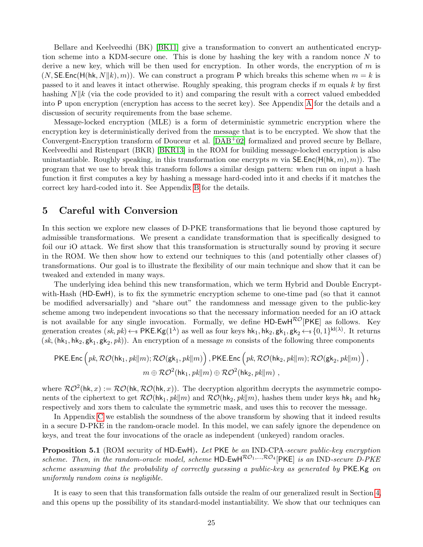<span id="page-24-1"></span>Bellare and Keelveedhi (BK) [\[BK11\]](#page-29-9) give a transformation to convert an authenticated encryption scheme into a KDM-secure one. This is done by hashing the key with a random nonce N to derive a new key, which will be then used for encryption. In other words, the encryption of  $m$  is  $(N, \mathsf{SE}.\mathsf{Enc}(\mathsf{H}(\mathsf{hk}, N||k), m))$ . We can construct a program P which breaks this scheme when  $m = k$  is passed to it and leaves it intact otherwise. Roughly speaking, this program checks if  $m$  equals  $k$  by first hashing  $N||k$  (via the code provided to it) and comparing the result with a correct valued embedded into P upon encryption (encryption has access to the secret key). See Appendix [A](#page-32-0) for the details and a discussion of security requirements from the base scheme.

Message-locked encryption (MLE) is a form of deterministic symmetric encryption where the encryption key is deterministically derived from the message that is to be encrypted. We show that the Convergent-Encryption transform of Douceur et al. [\[DAB](#page-30-8)+02] formalized and proved secure by Bellare, Keelveedhi and Ristenpart (BKR) [\[BKR13\]](#page-29-10) in the ROM for building message-locked encryption is also uninstantiable. Roughly speaking, in this transformation one encrypts m via  $\mathsf{SE}.\mathsf{Enc}(\mathsf{H}(\mathsf{hk}, m), m)$ . The program that we use to break this transform follows a similar design pattern: when run on input a hash function it first computes a key by hashing a message hard-coded into it and checks if it matches the correct key hard-coded into it. See Appendix [B](#page-36-1) for the details.

### <span id="page-24-0"></span>5 Careful with Conversion

In this section we explore new classes of D-PKE transformations that lie beyond those captured by admissible transformations. We present a candidate transformation that is specifically designed to foil our iO attack. We first show that this transformation is structurally sound by proving it secure in the ROM. We then show how to extend our techniques to this (and potentially other classes of) transformations. Our goal is to illustrate the flexibility of our main technique and show that it can be tweaked and extended in many ways.

The underlying idea behind this new transformation, which we term Hybrid and Double Encryptwith-Hash (HD-EwH), is to fix the symmetric encryption scheme to one-time pad (so that it cannot be modified adversarially) and "share out" the randomness and message given to the public-key scheme among two independent invocations so that the necessary information needed for an iO attack is not available for any single invocation. Formally, we define  $HD$ -EwH $^{RO}$ [PKE] as follows. Key generation creates  $(sk, pk) \leftarrow s$  PKE.Kg(1<sup> $\lambda$ </sup>) as well as four keys  $\mathsf{hk}_1, \mathsf{hk}_2, \mathsf{g}\mathsf{k}_1, \mathsf{g}\mathsf{k}_2 \leftarrow s \{0, 1\}^{\mathsf{kl}(\lambda)}$ . It returns  $(sk, (hk_1, hk_2, gk_1, gk_2, pk))$ . An encryption of a message m consists of the following three components

$$
\mathsf{PKE}.\mathsf{Enc}\left(\mathit{pk}, \mathcal{RO}(\mathsf{hk}_1, \mathit{pk} \| m); \mathcal{RO}(\mathsf{g}\mathsf{k}_1, \mathit{pk} \| m)\right), \mathsf{PKE}.\mathsf{Enc}\left(\mathit{pk}, \mathcal{RO}(\mathsf{hk}_2, \mathit{pk} \| m); \mathcal{RO}(\mathsf{g}\mathsf{k}_2, \mathit{pk} \| m)\right),\newline m \oplus \mathcal{RO}^2(\mathsf{hk}_1, \mathit{pk} \| m) \oplus \mathcal{RO}^2(\mathsf{hk}_2, \mathit{pk} \| m)\;,
$$

where  $\mathcal{RO}^2(hk, x) := \mathcal{RO}(hk, \mathcal{RO}(hk, x))$ . The decryption algorithm decrypts the asymmetric components of the ciphertext to get  $\mathcal{RO}(hk_1, pk||m)$  and  $\mathcal{RO}(hk_2, pk||m)$ , hashes them under keys hk<sub>1</sub> and hk<sub>2</sub> respectively and xors them to calculate the symmetric mask, and uses this to recover the message.

In Appendix [C](#page-39-0) we establish the soundness of the above transform by showing that it indeed results in a secure D-PKE in the random-oracle model. In this model, we can safely ignore the dependence on keys, and treat the four invocations of the oracle as independent (unkeyed) random oracles.

<span id="page-24-2"></span>Proposition 5.1 (ROM security of HD-EwH). Let PKE be an IND-CPA-secure public-key encryption scheme. Then, in the random-oracle model, scheme HD-EwH<sup>RO</sup>1,...,RO<sub>4</sub> [PKE] is an IND-secure D-PKE scheme assuming that the probability of correctly guessing a public-key as generated by PKE.Kg on uniformly random coins is negligible.

It is easy to seen that this transformation falls outside the realm of our generalized result in Section [4,](#page-19-0) and this opens up the possibility of its standard-model instantiability. We show that our techniques can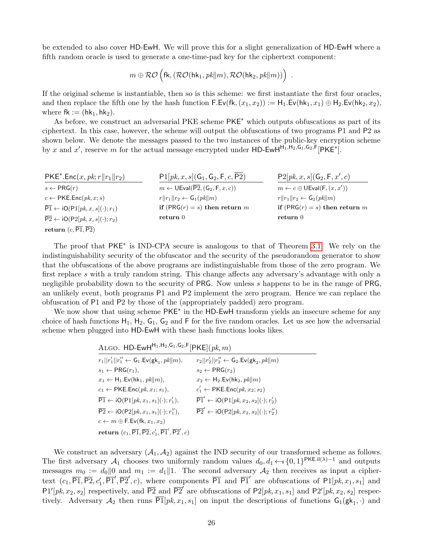be extended to also cover HD-EwH. We will prove this for a slight generalization of HD-EwH where a fifth random oracle is used to generate a one-time-pad key for the ciphertext component:

$$
m \oplus \mathcal{RO}\left(\textsf{fk}, (\mathcal{RO}(\textsf{hk}_1, \textsf{pk} \| m), \mathcal{RO}(\textsf{hk}_2, \textsf{pk} \| m))\right) .
$$

If the original scheme is instantiable, then so is this scheme: we first instantiate the first four oracles, and then replace the fifth one by the hash function  $\mathsf{F.Ev(fk,}(x_1,x_2)) := \mathsf{H}_1.\mathsf{Ev(hk_1,x_1)} \oplus \mathsf{H}_2.\mathsf{Ev(hk_2,x_2)},$ where  $fk := (hk_1, hk_2)$ .

As before, we construct an adversarial PKE scheme PKE<sup>∗</sup> which outputs obfuscations as part of its ciphertext. In this case, however, the scheme will output the obfuscations of two programs P1 and P2 as shown below. We denote the messages passed to the two instances of the public-key encryption scheme by x and x', reserve m for the actual message encrypted under  $HD$ -EwH<sup>H<sub>1</sub>,H<sub>2</sub>,G<sub>1</sub>,G<sub>2</sub>,F<sub>[</sub>PKE<sup>\*</sup>].</sup>

| $PKE^*$ . Enc $(x, pk; r    r_1    r_2)$                       | $P1[pk, x, s]$ $(G_1, G_2, F, c, P2)$                                                   | $P2[pk, x, s](G_2, F, x', c)$                                  |
|----------------------------------------------------------------|-----------------------------------------------------------------------------------------|----------------------------------------------------------------|
| $s \leftarrow PRG(r)$                                          | $m \leftarrow \mathsf{UEval}(\overline{\mathsf{P2}}, (\mathsf{G}_2, \mathsf{F}, x, c))$ | $m \leftarrow c \oplus \mathsf{UEval}(\mathsf{F}, (x, x'))$    |
| $c \leftarrow \mathsf{PKE}.\mathsf{Enc}(pk, x; s)$             | $r  r_1  r_2 \leftarrow G_1(\mathit{pk}  \mathit{m})$                                   | $r  r_1  r_2 \leftarrow \mathsf{G}_2(\mathit{pk}  \mathit{m})$ |
| $\overline{P1} \leftarrow \text{iO}(P1[pk, x, s](\cdot); r_1)$ | if $(PRG(r) = s)$ then return m                                                         | if $(PRG(r) = s)$ then return m                                |
| $\overline{P2} \leftarrow iO(P2[pk, x, s](\cdot); r_2)$        | return 0                                                                                | return 0                                                       |
| return $(c, \overline{P1}, \overline{P2})$                     |                                                                                         |                                                                |

The proof that PKE<sup>\*</sup> is IND-CPA secure is analogous to that of Theorem [3.1.](#page-13-2) We rely on the indistinguishability security of the obfuscator and the security of the pseudorandom generator to show that the obfuscations of the above programs are indistinguishable from those of the zero program. We first replace s with a truly random string. This change affects any adversary's advantage with only a negligible probability down to the security of PRG. Now unless s happens to be in the range of PRG, an unlikely event, both programs P1 and P2 implement the zero program. Hence we can replace the obfuscation of P1 and P2 by those of the (appropriately padded) zero program.

We now show that using scheme PKE<sup>\*</sup> in the HD-EwH transform yields an insecure scheme for any choice of hash functions  $H_1$ ,  $H_2$ ,  $G_1$ ,  $G_2$  and F for the five random oracles. Let us see how the adversarial scheme when plugged into HD-EwH with these hash functions looks likes.

ALGO. HD-EwH<sup>H<sub>1</sub>,H<sub>2</sub>,G<sub>1</sub>,G<sub>2</sub>,F<sub>[PKE]</sub>( $pk, m$ )</sup>

| $r_1  r'_1  r''_1 \leftarrow G_1.Ev(gk_1, pk  m),$                                    | $r_2  r'_2  r''_2 \leftarrow G_2.Ev(gk_2, pk  m)$              |
|---------------------------------------------------------------------------------------|----------------------------------------------------------------|
| $s_1 \leftarrow PRG(r_1)$ ,                                                           | $s_2 \leftarrow PRG(r_2)$                                      |
| $x_1 \leftarrow H_1.Ev(hk_1, pk  m),$                                                 | $x_2 \leftarrow H_2$ . Ev(hk <sub>2</sub> , $pk  m)$           |
| $c_1 \leftarrow \mathsf{PKE}.\mathsf{Enc}(pk, x_1; s_1),$                             | $c'_1 \leftarrow \mathsf{PKE}.\mathsf{Enc}(pk,x_2;s_2)$        |
| $\overline{P1} \leftarrow iO(P1[pk, x_1, s_1](\cdot); r'_1),$                         | $\overline{P1}' \leftarrow iO(P1[pk, x_2, s_2](\cdot); r'_2)$  |
| $\overline{P2} \leftarrow iO(P2[pk, x_1, s_1](\cdot); r''_1),$                        | $\overline{P2}' \leftarrow iO(P2[pk, x_2, s_2](\cdot); r_2'')$ |
| $c \leftarrow m \oplus \mathsf{F}.\mathsf{Ev}(\mathsf{fk}, x_1, x_2)$                 |                                                                |
| return $(c_1, \overline{P1}, \overline{P2}, c'_1, \overline{P1}', \overline{P2}', c)$ |                                                                |

We construct an adversary  $(A_1, A_2)$  against the IND security of our transformed scheme as follows. The first adversary  $\mathcal{A}_1$  chooses two uniformly random values  $d_0, d_1 \leftarrow \{0, 1\}^{PKE \cdot \text{il}(\lambda) - 1}$  and outputs messages  $m_0 := d_0 \| 0$  and  $m_1 := d_1 \| 1$ . The second adversary  $\mathcal{A}_2$  then receives as input a ciphertext  $(c_1, \overline{P1}, \overline{P2}, c'_1, \overline{P1}', \overline{P2}', c)$ , where components  $\overline{P1}$  and  $\overline{P1}'$  are obfuscations of  $P1[pk, x_1, s_1]$  and P1'[pk, x<sub>2</sub>, s<sub>2</sub>] respectively, and  $\overline{P2}$  and  $\overline{P2}$ <sup>T</sup> are obfuscations of P2[pk, x<sub>1</sub>, s<sub>1</sub>] and P2'[pk, x<sub>2</sub>, s<sub>2</sub>] respectively. Adversary  $\mathcal{A}_2$  then runs  $P1[pk, x_1, s_1]$  on input the descriptions of functions  $G_1(gk_1, \cdot)$  and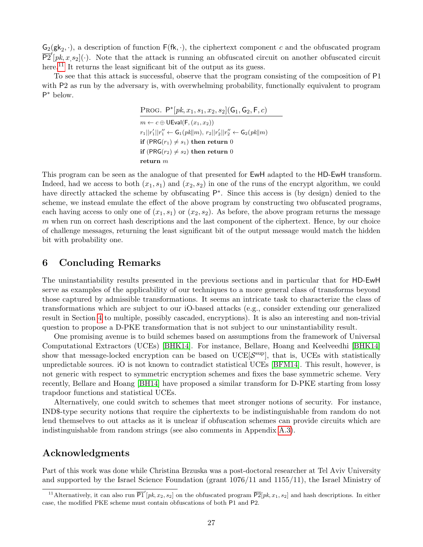<span id="page-26-2"></span> $G_2(gk_2, \cdot)$ , a description of function  $F(fk, \cdot)$ , the ciphertext component c and the obfuscated program  $\overline{P2}^{\prime}[pk, x,s_2](\cdot)$ . Note that the attack is running an obfuscated circuit on another obfuscated circuit here.<sup>[11](#page-26-1)</sup> It returns the least significant bit of the output as its guess.

To see that this attack is successful, observe that the program consisting of the composition of P1 with P2 as run by the adversary is, with overwhelming probability, functionally equivalent to program P <sup>∗</sup> below.

> PROG.  $P^*[pk, x_1, s_1, x_2, s_2](G_1, G_2, F, c)$  $m \leftarrow c \oplus \mathsf{UEval}(\mathsf{F}, (x_1, x_2))$  $r_1||r'_1||r''_1 \leftarrow \mathsf{G}_1(pk||m), r_2||r'_2||r''_2 \leftarrow \mathsf{G}_2(pk||m)$ if  $(PRG(r_1) \neq s_1)$  then return 0 if  $(PRG(r_2) \neq s_2)$  then return 0 return m

This program can be seen as the analogue of that presented for EwH adapted to the HD-EwH transform. Indeed, had we access to both  $(x_1, s_1)$  and  $(x_2, s_2)$  in one of the runs of the encrypt algorithm, we could have directly attacked the scheme by obfuscating  $P^*$ . Since this access is (by design) denied to the scheme, we instead emulate the effect of the above program by constructing two obfuscated programs, each having access to only one of  $(x_1, s_1)$  or  $(x_2, s_2)$ . As before, the above program returns the message  $m$  when run on correct hash descriptions and the last component of the ciphertext. Hence, by our choice of challenge messages, returning the least significant bit of the output message would match the hidden bit with probability one.

# <span id="page-26-0"></span>6 Concluding Remarks

The uninstantiability results presented in the previous sections and in particular that for HD-EwH serve as examples of the applicability of our techniques to a more general class of transforms beyond those captured by admissible transformations. It seems an intricate task to characterize the class of transformations which are subject to our iO-based attacks (e.g., consider extending our generalized result in Section [4](#page-19-0) to multiple, possibly cascaded, encryptions). It is also an interesting and non-trivial question to propose a D-PKE transformation that is not subject to our uninstantiability result.

One promising avenue is to build schemes based on assumptions from the framework of Universal Computational Extractors (UCEs) [\[BHK14\]](#page-29-8). For instance, Bellare, Hoang and Keelveedhi [\[BHK14\]](#page-29-8) show that message-locked encryption can be based on  $\text{UCE}[\mathcal{S}^{\text{sup}}]$ , that is, UCEs with statistically unpredictable sources. iO is not known to contradict statistical UCEs [\[BFM14\]](#page-28-1). This result, however, is not generic with respect to symmetric encryption schemes and fixes the base symmetric scheme. Very recently, Bellare and Hoang [\[BH14\]](#page-28-6) have proposed a similar transform for D-PKE starting from lossy trapdoor functions and statistical UCEs.

Alternatively, one could switch to schemes that meet stronger notions of security. For instance, IND\$-type security notions that require the ciphertexts to be indistinguishable from random do not lend themselves to out attacks as it is unclear if obfuscation schemes can provide circuits which are indistinguishable from random strings (see also comments in Appendix [A.3\)](#page-36-0).

# Acknowledgments

Part of this work was done while Christina Brzuska was a post-doctoral researcher at Tel Aviv University and supported by the Israel Science Foundation (grant 1076/11 and 1155/11), the Israel Ministry of

<span id="page-26-1"></span><sup>&</sup>lt;sup>11</sup> Alternatively, it can also run  $\overline{P1}'[pk, x_2, s_2]$  on the obfuscated program  $\overline{P2}[pk, x_1, s_2]$  and hash descriptions. In either case, the modified PKE scheme must contain obfuscations of both P1 and P2.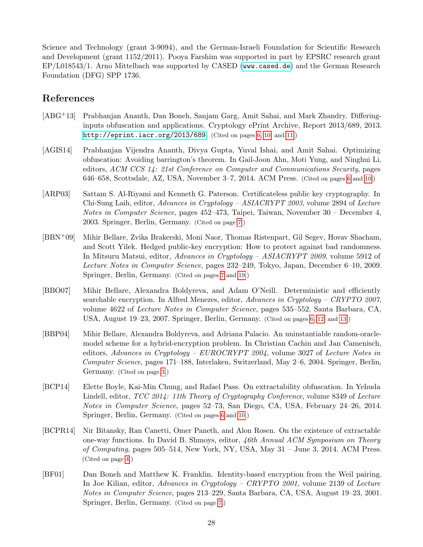Science and Technology (grant 3-9094), and the German-Israeli Foundation for Scientific Research and Development (grant 1152/2011). Pooya Farshim was supported in part by EPSRC research grant EP/L018543/1. Arno Mittelbach was supported by CASED (<www.cased.de>) and the German Research Foundation (DFG) SPP 1736.

# References

- <span id="page-27-4"></span>[ABG+13] Prabhanjan Ananth, Dan Boneh, Sanjam Garg, Amit Sahai, and Mark Zhandry. Differinginputs obfuscation and applications. Cryptology ePrint Archive, Report 2013/689, 2013. <http://eprint.iacr.org/2013/689>. (Cited on pages [6,](#page-5-1) [10,](#page-9-0) and [11.](#page-10-1))
- <span id="page-27-2"></span>[AGIS14] Prabhanjan Vijendra Ananth, Divya Gupta, Yuval Ishai, and Amit Sahai. Optimizing obfuscation: Avoiding barrington's theorem. In Gail-Joon Ahn, Moti Yung, and Ninghui Li, editors, ACM CCS 14: 21st Conference on Computer and Communications Security, pages 646–658, Scottsdale, AZ, USA, November 3–7, 2014. ACM Press. (Cited on pages [6](#page-5-1) and [10.](#page-9-0))
- <span id="page-27-8"></span>[ARP03] Sattam S. Al-Riyami and Kenneth G. Paterson. Certificateless public key cryptography. In Chi-Sung Laih, editor, Advances in Cryptology – ASIACRYPT 2003, volume 2894 of Lecture Notes in Computer Science, pages 452–473, Taipei, Taiwan, November 30 – December 4, 2003. Springer, Berlin, Germany. (Cited on page [7.](#page-6-1))
- <span id="page-27-6"></span>[BBN+09] Mihir Bellare, Zvika Brakerski, Moni Naor, Thomas Ristenpart, Gil Segev, Hovav Shacham, and Scott Yilek. Hedged public-key encryption: How to protect against bad randomness. In Mitsuru Matsui, editor, Advances in Cryptology – ASIACRYPT 2009, volume 5912 of Lecture Notes in Computer Science, pages 232–249, Tokyo, Japan, December 6–10, 2009. Springer, Berlin, Germany. (Cited on pages [7](#page-6-1) and [19.](#page-18-2))
- <span id="page-27-5"></span>[BBO07] Mihir Bellare, Alexandra Boldyreva, and Adam O'Neill. Deterministic and efficiently searchable encryption. In Alfred Menezes, editor, Advances in Cryptology – CRYPTO 2007, volume 4622 of Lecture Notes in Computer Science, pages 535–552, Santa Barbara, CA, USA, August 19–23, 2007. Springer, Berlin, Germany. (Cited on pages [6,](#page-5-1) [12,](#page-11-1) and [13.](#page-12-2))
- <span id="page-27-0"></span>[BBP04] Mihir Bellare, Alexandra Boldyreva, and Adriana Palacio. An uninstantiable random-oraclemodel scheme for a hybrid-encryption problem. In Christian Cachin and Jan Camenisch, editors, Advances in Cryptology – EUROCRYPT 2004, volume 3027 of Lecture Notes in Computer Science, pages 171–188, Interlaken, Switzerland, May 2–6, 2004. Springer, Berlin, Germany. (Cited on page [3.](#page-2-3))
- <span id="page-27-3"></span>[BCP14] Elette Boyle, Kai-Min Chung, and Rafael Pass. On extractability obfuscation. In Yehuda Lindell, editor, TCC 2014: 11th Theory of Cryptography Conference, volume 8349 of Lecture Notes in Computer Science, pages 52–73, San Diego, CA, USA, February 24–26, 2014. Springer, Berlin, Germany. (Cited on pages [6](#page-5-1) and [10.](#page-9-0))
- <span id="page-27-1"></span>[BCPR14] Nir Bitansky, Ran Canetti, Omer Paneth, and Alon Rosen. On the existence of extractable one-way functions. In David B. Shmoys, editor, 46th Annual ACM Symposium on Theory of Computing, pages 505–514, New York, NY, USA, May 31 – June 3, 2014. ACM Press. (Cited on page [4.](#page-3-1))
- <span id="page-27-7"></span>[BF01] Dan Boneh and Matthew K. Franklin. Identity-based encryption from the Weil pairing. In Joe Kilian, editor, Advances in Cryptology – CRYPTO 2001, volume 2139 of Lecture Notes in Computer Science, pages 213–229, Santa Barbara, CA, USA, August 19–23, 2001. Springer, Berlin, Germany. (Cited on page [7.](#page-6-1))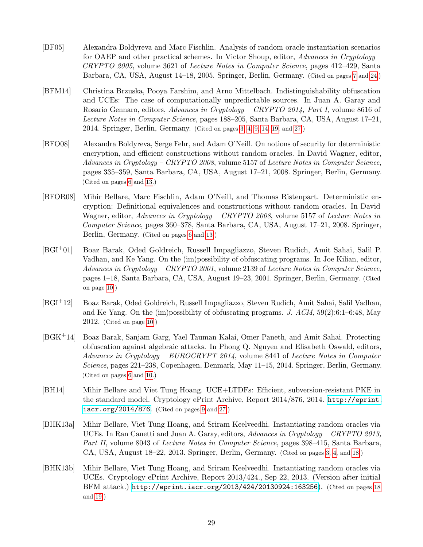- <span id="page-28-5"></span>[BF05] Alexandra Boldyreva and Marc Fischlin. Analysis of random oracle instantiation scenarios for OAEP and other practical schemes. In Victor Shoup, editor, Advances in Cryptology – CRYPTO 2005, volume 3621 of Lecture Notes in Computer Science, pages 412–429, Santa Barbara, CA, USA, August 14–18, 2005. Springer, Berlin, Germany. (Cited on pages [7](#page-6-1) and [24.](#page-23-2))
- <span id="page-28-1"></span>[BFM14] Christina Brzuska, Pooya Farshim, and Arno Mittelbach. Indistinguishability obfuscation and UCEs: The case of computationally unpredictable sources. In Juan A. Garay and Rosario Gennaro, editors, Advances in Cryptology – CRYPTO 2014, Part I, volume 8616 of Lecture Notes in Computer Science, pages 188–205, Santa Barbara, CA, USA, August 17–21, 2014. Springer, Berlin, Germany. (Cited on pages [3,](#page-2-3) [4,](#page-3-1) [9,](#page-8-1) [14,](#page-13-3) [19,](#page-18-2) and [27.](#page-26-2))
- <span id="page-28-4"></span>[BFO08] Alexandra Boldyreva, Serge Fehr, and Adam O'Neill. On notions of security for deterministic encryption, and efficient constructions without random oracles. In David Wagner, editor, Advances in Cryptology – CRYPTO 2008, volume 5157 of Lecture Notes in Computer Science, pages 335–359, Santa Barbara, CA, USA, August 17–21, 2008. Springer, Berlin, Germany. (Cited on pages [6](#page-5-1) and [13.](#page-12-2))
- <span id="page-28-3"></span>[BFOR08] Mihir Bellare, Marc Fischlin, Adam O'Neill, and Thomas Ristenpart. Deterministic encryption: Definitional equivalences and constructions without random oracles. In David Wagner, editor, Advances in Cryptology – CRYPTO 2008, volume 5157 of Lecture Notes in Computer Science, pages 360–378, Santa Barbara, CA, USA, August 17–21, 2008. Springer, Berlin, Germany. (Cited on pages [6](#page-5-1) and [13.](#page-12-2))
- <span id="page-28-7"></span>[BGI+01] Boaz Barak, Oded Goldreich, Russell Impagliazzo, Steven Rudich, Amit Sahai, Salil P. Vadhan, and Ke Yang. On the (im)possibility of obfuscating programs. In Joe Kilian, editor, Advances in Cryptology – CRYPTO 2001, volume 2139 of Lecture Notes in Computer Science, pages 1–18, Santa Barbara, CA, USA, August 19–23, 2001. Springer, Berlin, Germany. (Cited on page [10.](#page-9-0))
- <span id="page-28-8"></span>[BGI+12] Boaz Barak, Oded Goldreich, Russell Impagliazzo, Steven Rudich, Amit Sahai, Salil Vadhan, and Ke Yang. On the (im)possibility of obfuscating programs. J.  $ACM$ , 59(2):6:1–6:48, May 2012. (Cited on page [10.](#page-9-0))
- <span id="page-28-2"></span>[BGK+14] Boaz Barak, Sanjam Garg, Yael Tauman Kalai, Omer Paneth, and Amit Sahai. Protecting obfuscation against algebraic attacks. In Phong Q. Nguyen and Elisabeth Oswald, editors, Advances in Cryptology – EUROCRYPT 2014, volume 8441 of Lecture Notes in Computer Science, pages 221–238, Copenhagen, Denmark, May 11–15, 2014. Springer, Berlin, Germany. (Cited on pages [6](#page-5-1) and [10.](#page-9-0))
- <span id="page-28-6"></span>[BH14] Mihir Bellare and Viet Tung Hoang. UCE+LTDFs: Efficient, subversion-resistant PKE in the standard model. Cryptology ePrint Archive, Report 2014/876, 2014. [http://eprint.](http://eprint.iacr.org/2014/876) [iacr.org/2014/876](http://eprint.iacr.org/2014/876). (Cited on pages [9](#page-8-1) and [27.](#page-26-2))
- <span id="page-28-0"></span>[BHK13a] Mihir Bellare, Viet Tung Hoang, and Sriram Keelveedhi. Instantiating random oracles via UCEs. In Ran Canetti and Juan A. Garay, editors, Advances in Cryptology – CRYPTO 2013, Part II, volume 8043 of Lecture Notes in Computer Science, pages 398–415, Santa Barbara, CA, USA, August 18–22, 2013. Springer, Berlin, Germany. (Cited on pages [3,](#page-2-3) [4,](#page-3-1) and [18.](#page-17-2))
- <span id="page-28-9"></span>[BHK13b] Mihir Bellare, Viet Tung Hoang, and Sriram Keelveedhi. Instantiating random oracles via UCEs. Cryptology ePrint Archive, Report 2013/424., Sep 22, 2013. (Version after initial BFM attack.) <http://eprint.iacr.org/2013/424/20130924:163256>). (Cited on pages [18](#page-17-2) and [19.](#page-18-2))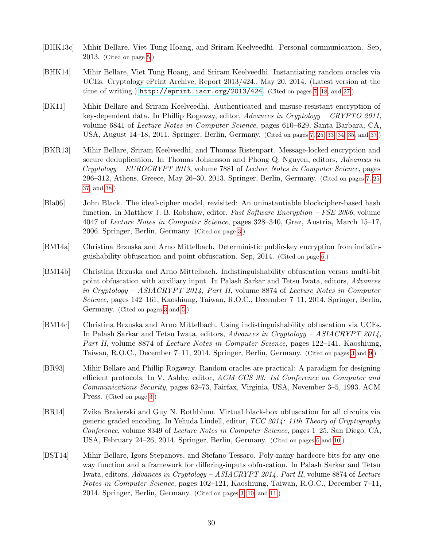- <span id="page-29-5"></span>[BHK13c] Mihir Bellare, Viet Tung Hoang, and Sriram Keelveedhi. Personal communication. Sep, 2013. (Cited on page [5.](#page-4-1))
- <span id="page-29-8"></span>[BHK14] Mihir Bellare, Viet Tung Hoang, and Sriram Keelveedhi. Instantiating random oracles via UCEs. Cryptology ePrint Archive, Report 2013/424., May 20, 2014. (Latest version at the time of writing.) <http://eprint.iacr.org/2013/424>. (Cited on pages [7,](#page-6-1) [18,](#page-17-2) and [27.](#page-26-2))
- <span id="page-29-9"></span>[BK11] Mihir Bellare and Sriram Keelveedhi. Authenticated and misuse-resistant encryption of key-dependent data. In Phillip Rogaway, editor, Advances in Cryptology – CRYPTO 2011, volume 6841 of Lecture Notes in Computer Science, pages 610–629, Santa Barbara, CA, USA, August 14–18, 2011. Springer, Berlin, Germany. (Cited on pages [7,](#page-6-1) [25,](#page-24-1) [33,](#page-32-9) [34,](#page-33-0) [35,](#page-34-1) and [37.](#page-36-2))
- <span id="page-29-10"></span>[BKR13] Mihir Bellare, Sriram Keelveedhi, and Thomas Ristenpart. Message-locked encryption and secure deduplication. In Thomas Johansson and Phong Q. Nguyen, editors, Advances in Cryptology – EUROCRYPT 2013, volume 7881 of Lecture Notes in Computer Science, pages 296–312, Athens, Greece, May 26–30, 2013. Springer, Berlin, Germany. (Cited on pages [7,](#page-6-1) [25,](#page-24-1) [37,](#page-36-2) and [38.](#page-37-0))
- <span id="page-29-1"></span>[Bla06] John Black. The ideal-cipher model, revisited: An uninstantiable blockcipher-based hash function. In Matthew J. B. Robshaw, editor, Fast Software Encryption – FSE 2006, volume 4047 of Lecture Notes in Computer Science, pages 328–340, Graz, Austria, March 15–17, 2006. Springer, Berlin, Germany. (Cited on page [3.](#page-2-3))
- <span id="page-29-7"></span>[BM14a] Christina Brzuska and Arno Mittelbach. Deterministic public-key encryption from indistinguishability obfuscation and point obfuscation. Sep, 2014. (Cited on page [6.](#page-5-1))
- <span id="page-29-4"></span>[BM14b] Christina Brzuska and Arno Mittelbach. Indistinguishability obfuscation versus multi-bit point obfuscation with auxiliary input. In Palash Sarkar and Tetsu Iwata, editors, Advances in Cryptology – ASIACRYPT 2014, Part II, volume 8874 of Lecture Notes in Computer Science, pages 142–161, Kaoshiung, Taiwan, R.O.C., December 7–11, 2014. Springer, Berlin, Germany. (Cited on pages [3](#page-2-3) and [5.](#page-4-1))
- <span id="page-29-3"></span>[BM14c] Christina Brzuska and Arno Mittelbach. Using indistinguishability obfuscation via UCEs. In Palash Sarkar and Tetsu Iwata, editors, Advances in Cryptology – ASIACRYPT 2014, Part II, volume 8874 of Lecture Notes in Computer Science, pages 122–141, Kaoshiung, Taiwan, R.O.C., December 7–11, 2014. Springer, Berlin, Germany. (Cited on pages [3](#page-2-3) and [9.](#page-8-1))
- <span id="page-29-0"></span>[BR93] Mihir Bellare and Phillip Rogaway. Random oracles are practical: A paradigm for designing efficient protocols. In V. Ashby, editor, ACM CCS 93: 1st Conference on Computer and Communications Security, pages 62–73, Fairfax, Virginia, USA, November 3–5, 1993. ACM Press. (Cited on page [3.](#page-2-3))
- <span id="page-29-6"></span>[BR14] Zvika Brakerski and Guy N. Rothblum. Virtual black-box obfuscation for all circuits via generic graded encoding. In Yehuda Lindell, editor, TCC 2014: 11th Theory of Cryptography Conference, volume 8349 of Lecture Notes in Computer Science, pages 1–25, San Diego, CA, USA, February 24–26, 2014. Springer, Berlin, Germany. (Cited on pages [6](#page-5-1) and [10.](#page-9-0))
- <span id="page-29-2"></span>[BST14] Mihir Bellare, Igors Stepanovs, and Stefano Tessaro. Poly-many hardcore bits for any oneway function and a framework for differing-inputs obfuscation. In Palash Sarkar and Tetsu Iwata, editors, Advances in Cryptology – ASIACRYPT 2014, Part II, volume 8874 of Lecture Notes in Computer Science, pages 102–121, Kaoshiung, Taiwan, R.O.C., December 7–11, 2014. Springer, Berlin, Germany. (Cited on pages [3,](#page-2-3) [10,](#page-9-0) and [11.](#page-10-1))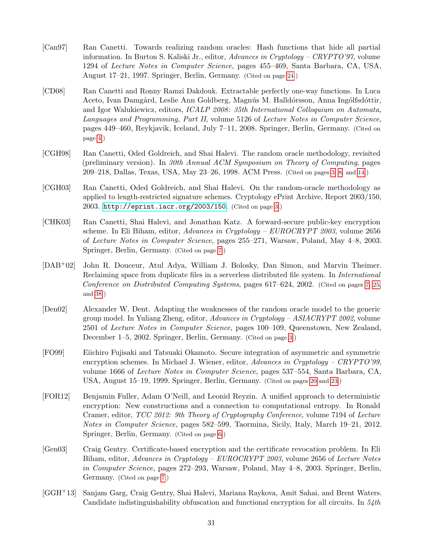- <span id="page-30-10"></span>[Can97] Ran Canetti. Towards realizing random oracles: Hash functions that hide all partial information. In Burton S. Kaliski Jr., editor, Advances in Cryptology – CRYPTO'97, volume 1294 of Lecture Notes in Computer Science, pages 455–469, Santa Barbara, CA, USA, August 17–21, 1997. Springer, Berlin, Germany. (Cited on page [24.](#page-23-2))
- <span id="page-30-4"></span>[CD08] Ran Canetti and Ronny Ramzi Dakdouk. Extractable perfectly one-way functions. In Luca Aceto, Ivan Damgård, Leslie Ann Goldberg, Magnús M. Halldórsson, Anna Ingólfsdóttir, and Igor Walukiewicz, editors, ICALP 2008: 35th International Colloquium on Automata, Languages and Programming, Part II, volume 5126 of Lecture Notes in Computer Science, pages 449–460, Reykjavik, Iceland, July 7–11, 2008. Springer, Berlin, Germany. (Cited on page [4.](#page-3-1))
- <span id="page-30-0"></span>[CGH98] Ran Canetti, Oded Goldreich, and Shai Halevi. The random oracle methodology, revisited (preliminary version). In 30th Annual ACM Symposium on Theory of Computing, pages 209–218, Dallas, Texas, USA, May 23–26, 1998. ACM Press. (Cited on pages [3,](#page-2-3) [8,](#page-7-1) and [14.](#page-13-3))
- <span id="page-30-1"></span>[CGH03] Ran Canetti, Oded Goldreich, and Shai Halevi. On the random-oracle methodology as applied to length-restricted signature schemes. Cryptology ePrint Archive, Report 2003/150, 2003. <http://eprint.iacr.org/2003/150>. (Cited on page [3.](#page-2-3))
- <span id="page-30-6"></span>[CHK03] Ran Canetti, Shai Halevi, and Jonathan Katz. A forward-secure public-key encryption scheme. In Eli Biham, editor, Advances in Cryptology – EUROCRYPT 2003, volume 2656 of Lecture Notes in Computer Science, pages 255–271, Warsaw, Poland, May 4–8, 2003. Springer, Berlin, Germany. (Cited on page [7.](#page-6-1))
- <span id="page-30-8"></span>[DAB+02] John R. Douceur, Atul Adya, William J. Bolosky, Dan Simon, and Marvin Theimer. Reclaiming space from duplicate files in a serverless distributed file system. In International Conference on Distributed Computing Systems, pages 617–624, 2002. (Cited on pages [7,](#page-6-1) [25,](#page-24-1) and [38.](#page-37-0))
- <span id="page-30-2"></span>[Den02] Alexander W. Dent. Adapting the weaknesses of the random oracle model to the generic group model. In Yuliang Zheng, editor, Advances in Cryptology –  $ASIACRYPT 2002$ , volume 2501 of Lecture Notes in Computer Science, pages 100–109, Queenstown, New Zealand, December 1–5, 2002. Springer, Berlin, Germany. (Cited on page [3.](#page-2-3))
- <span id="page-30-9"></span>[FO99] Eiichiro Fujisaki and Tatsuaki Okamoto. Secure integration of asymmetric and symmetric encryption schemes. In Michael J. Wiener, editor,  $Advances$  in Cryptology – CRYPTO'99, volume 1666 of Lecture Notes in Computer Science, pages 537–554, Santa Barbara, CA, USA, August 15–19, 1999. Springer, Berlin, Germany. (Cited on pages [20](#page-19-3) and [23.](#page-22-2))
- <span id="page-30-5"></span>[FOR12] Benjamin Fuller, Adam O'Neill, and Leonid Reyzin. A unified approach to deterministic encryption: New constructions and a connection to computational entropy. In Ronald Cramer, editor, TCC 2012: 9th Theory of Cryptography Conference, volume 7194 of Lecture Notes in Computer Science, pages 582–599, Taormina, Sicily, Italy, March 19–21, 2012. Springer, Berlin, Germany. (Cited on page [6.](#page-5-1))
- <span id="page-30-7"></span>[Gen03] Craig Gentry. Certificate-based encryption and the certificate revocation problem. In Eli Biham, editor, Advances in Cryptology – EUROCRYPT 2003, volume 2656 of Lecture Notes in Computer Science, pages 272–293, Warsaw, Poland, May 4–8, 2003. Springer, Berlin, Germany. (Cited on page [7.](#page-6-1))
- <span id="page-30-3"></span>[GGH+13] Sanjam Garg, Craig Gentry, Shai Halevi, Mariana Raykova, Amit Sahai, and Brent Waters. Candidate indistinguishability obfuscation and functional encryption for all circuits. In 54th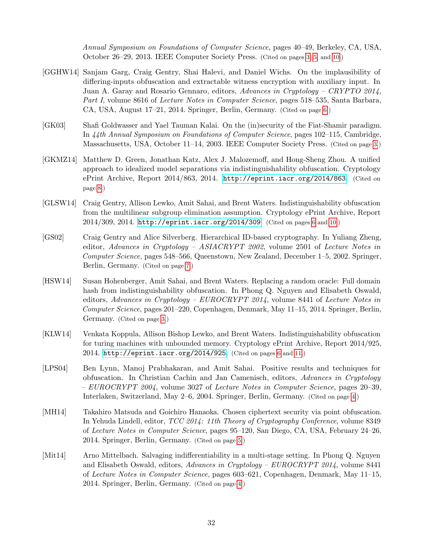Annual Symposium on Foundations of Computer Science, pages 40–49, Berkeley, CA, USA, October 26–29, 2013. IEEE Computer Society Press. (Cited on pages [3,](#page-2-3) [5,](#page-4-1) and [10.](#page-9-0))

- <span id="page-31-6"></span>[GGHW14] Sanjam Garg, Craig Gentry, Shai Halevi, and Daniel Wichs. On the implausibility of differing-inputs obfuscation and extractable witness encryption with auxiliary input. In Juan A. Garay and Rosario Gennaro, editors, Advances in Cryptology – CRYPTO 2014, Part I, volume 8616 of Lecture Notes in Computer Science, pages 518–535, Santa Barbara, CA, USA, August 17–21, 2014. Springer, Berlin, Germany. (Cited on page [6.](#page-5-1))
- <span id="page-31-0"></span>[GK03] Shafi Goldwasser and Yael Tauman Kalai. On the (in)security of the Fiat-Shamir paradigm. In 44th Annual Symposium on Foundations of Computer Science, pages 102–115, Cambridge, Massachusetts, USA, October 11–14, 2003. IEEE Computer Society Press. (Cited on page [3.](#page-2-3))
- <span id="page-31-9"></span>[GKMZ14] Matthew D. Green, Jonathan Katz, Alex J. Malozemoff, and Hong-Sheng Zhou. A unified approach to idealized model separations via indistinguishability obfuscation. Cryptology ePrint Archive, Report 2014/863, 2014. <http://eprint.iacr.org/2014/863>. (Cited on page [8.](#page-7-1))
- <span id="page-31-5"></span>[GLSW14] Craig Gentry, Allison Lewko, Amit Sahai, and Brent Waters. Indistinguishability obfuscation from the multilinear subgroup elimination assumption. Cryptology ePrint Archive, Report  $2014/309$ , 2014. <http://eprint.iacr.org/2014/309>. (Cited on pages [6](#page-5-1) and [10.](#page-9-0))
- <span id="page-31-8"></span>[GS02] Craig Gentry and Alice Silverberg. Hierarchical ID-based cryptography. In Yuliang Zheng, editor, Advances in Cryptology – ASIACRYPT 2002, volume 2501 of Lecture Notes in Computer Science, pages 548–566, Queenstown, New Zealand, December 1–5, 2002. Springer, Berlin, Germany. (Cited on page [7.](#page-6-1))
- <span id="page-31-1"></span>[HSW14] Susan Hohenberger, Amit Sahai, and Brent Waters. Replacing a random oracle: Full domain hash from indistinguishability obfuscation. In Phong Q. Nguyen and Elisabeth Oswald, editors, Advances in Cryptology –  $EUROCRPT 2014$ , volume 8441 of Lecture Notes in Computer Science, pages 201–220, Copenhagen, Denmark, May 11–15, 2014. Springer, Berlin, Germany. (Cited on page [3.](#page-2-3))
- <span id="page-31-7"></span>[KLW14] Venkata Koppula, Allison Bishop Lewko, and Brent Waters. Indistinguishability obfuscation for turing machines with unbounded memory. Cryptology ePrint Archive, Report 2014/925, 2014. <http://eprint.iacr.org/2014/925>. (Cited on pages [6](#page-5-1) and [11.](#page-10-1))
- <span id="page-31-3"></span>[LPS04] Ben Lynn, Manoj Prabhakaran, and Amit Sahai. Positive results and techniques for obfuscation. In Christian Cachin and Jan Camenisch, editors, Advances in Cryptology –  $EUROCRYPT 2004$ , volume 3027 of Lecture Notes in Computer Science, pages 20–39, Interlaken, Switzerland, May 2–6, 2004. Springer, Berlin, Germany. (Cited on page [4.](#page-3-1))
- <span id="page-31-4"></span>[MH14] Takahiro Matsuda and Goichiro Hanaoka. Chosen ciphertext security via point obfuscation. In Yehuda Lindell, editor, TCC 2014: 11th Theory of Cryptography Conference, volume 8349 of Lecture Notes in Computer Science, pages 95–120, San Diego, CA, USA, February 24–26, 2014. Springer, Berlin, Germany. (Cited on page [5.](#page-4-1))
- <span id="page-31-2"></span>[Mit14] Arno Mittelbach. Salvaging indifferentiability in a multi-stage setting. In Phong Q. Nguyen and Elisabeth Oswald, editors, Advances in Cryptology – EUROCRYPT 2014, volume 8441 of Lecture Notes in Computer Science, pages 603–621, Copenhagen, Denmark, May 11–15, 2014. Springer, Berlin, Germany. (Cited on page [4.](#page-3-1))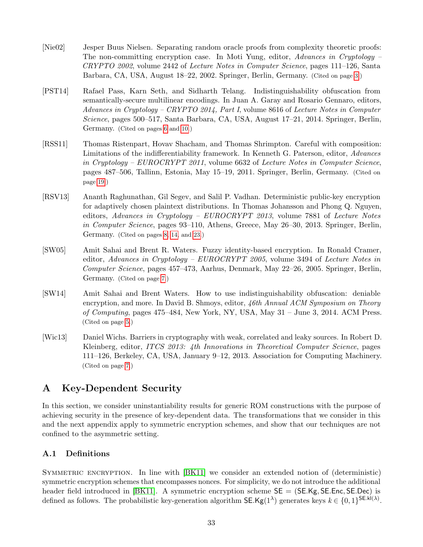- <span id="page-32-9"></span><span id="page-32-2"></span>[Nie02] Jesper Buus Nielsen. Separating random oracle proofs from complexity theoretic proofs: The non-committing encryption case. In Moti Yung, editor, Advances in Cryptology – CRYPTO 2002, volume 2442 of Lecture Notes in Computer Science, pages 111–126, Santa Barbara, CA, USA, August 18–22, 2002. Springer, Berlin, Germany. (Cited on page [3.](#page-2-3))
- <span id="page-32-4"></span>[PST14] Rafael Pass, Karn Seth, and Sidharth Telang. Indistinguishability obfuscation from semantically-secure multilinear encodings. In Juan A. Garay and Rosario Gennaro, editors, Advances in Cryptology – CRYPTO 2014, Part I, volume 8616 of Lecture Notes in Computer Science, pages 500–517, Santa Barbara, CA, USA, August 17–21, 2014. Springer, Berlin, Germany. (Cited on pages [6](#page-5-1) and [10.](#page-9-0))
- <span id="page-32-8"></span>[RSS11] Thomas Ristenpart, Hovav Shacham, and Thomas Shrimpton. Careful with composition: Limitations of the indifferentiability framework. In Kenneth G. Paterson, editor, Advances in Cryptology – EUROCRYPT 2011, volume 6632 of Lecture Notes in Computer Science, pages 487–506, Tallinn, Estonia, May 15–19, 2011. Springer, Berlin, Germany. (Cited on page [19.](#page-18-2))
- <span id="page-32-7"></span>[RSV13] Ananth Raghunathan, Gil Segev, and Salil P. Vadhan. Deterministic public-key encryption for adaptively chosen plaintext distributions. In Thomas Johansson and Phong Q. Nguyen, editors, Advances in Cryptology –  $EUROCRYPT$  2013, volume 7881 of Lecture Notes in Computer Science, pages 93-110, Athens, Greece, May 26-30, 2013. Springer, Berlin, Germany. (Cited on pages [8,](#page-7-1) [14,](#page-13-3) and [23.](#page-22-2))
- <span id="page-32-6"></span>[SW05] Amit Sahai and Brent R. Waters. Fuzzy identity-based encryption. In Ronald Cramer, editor, Advances in Cryptology – EUROCRYPT 2005, volume 3494 of Lecture Notes in Computer Science, pages 457–473, Aarhus, Denmark, May 22–26, 2005. Springer, Berlin, Germany. (Cited on page [7.](#page-6-1))
- <span id="page-32-3"></span>[SW14] Amit Sahai and Brent Waters. How to use indistinguishability obfuscation: deniable encryption, and more. In David B. Shmoys, editor, 46th Annual ACM Symposium on Theory of Computing, pages 475–484, New York, NY, USA, May 31 – June 3, 2014. ACM Press. (Cited on page [5.](#page-4-1))
- <span id="page-32-5"></span>[Wic13] Daniel Wichs. Barriers in cryptography with weak, correlated and leaky sources. In Robert D. Kleinberg, editor, ITCS 2013: 4th Innovations in Theoretical Computer Science, pages 111–126, Berkeley, CA, USA, January 9–12, 2013. Association for Computing Machinery. (Cited on page [7.](#page-6-1))

# <span id="page-32-0"></span>A Key-Dependent Security

In this section, we consider uninstantiability results for generic ROM constructions with the purpose of achieving security in the presence of key-dependent data. The transformations that we consider in this and the next appendix apply to symmetric encryption schemes, and show that our techniques are not confined to the asymmetric setting.

# <span id="page-32-1"></span>A.1 Definitions

SYMMETRIC ENCRYPTION. In line with  $[BK11]$  we consider an extended notion of (deterministic) symmetric encryption schemes that encompasses nonces. For simplicity, we do not introduce the additional header field introduced in [\[BK11\]](#page-29-9). A symmetric encryption scheme  $SE = (SE.Kg, SEEnc, SEDec)$  is defined as follows. The probabilistic key-generation algorithm  $\mathsf{SE}.\mathsf{Kg}(1^\lambda)$  generates keys  $k \in \{0,1\}^{\mathsf{SE}.\mathsf{kl}(\lambda)}$ .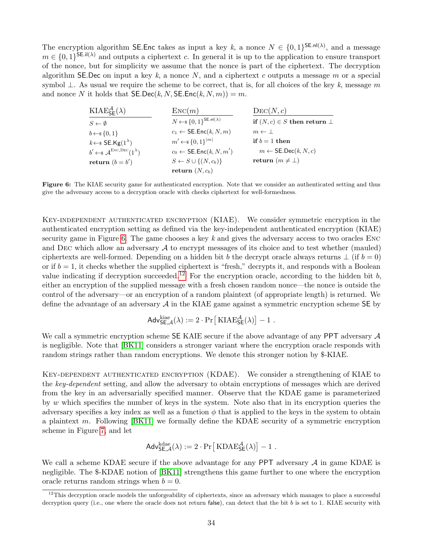<span id="page-33-0"></span>The encryption algorithm SE. Enc takes as input a key k, a nonce  $N \in \{0,1\}^{\mathsf{SE}.\mathsf{nl}(\lambda)}$ , and a message  $m \in \{0,1\}^{\mathsf{SE},\mathsf{il}(\lambda)}$  and outputs a ciphertext c. In general it is up to the application to ensure transport of the nonce, but for simplicity we assume that the nonce is part of the ciphertext. The decryption algorithm SE.Dec on input a key k, a nonce N, and a ciphertext c outputs a message  $m$  or a special symbol  $\perp$ . As usual we require the scheme to be correct, that is, for all choices of the key k, message m and nonce N it holds that  $\mathsf{SE}.\mathsf{Dec}(k, N, \mathsf{SE}.\mathsf{Enc}(k, N, m)) = m$ .

<span id="page-33-1"></span>

| $KIAE_{\text{SE}}^{\mathcal{A}}(\lambda)$                                     | $\text{Enc}(m)$                                               | DEC(N, c)                                        |
|-------------------------------------------------------------------------------|---------------------------------------------------------------|--------------------------------------------------|
| $S \leftarrow \emptyset$                                                      | $N \leftarrow \S \{0,1\}^{\mathsf{SE}, \mathsf{nl}(\lambda)}$ | if $(N, c) \in S$ then return $\perp$            |
| $b \leftarrow s \{0, 1\}$                                                     | $c_1 \leftarrow$ SE.Enc(k, N, m)                              | $m \leftarrow \perp$                             |
| $k \leftarrow s$ SE.Kg(1 <sup><math>\lambda</math></sup> )                    | $m' \leftarrow \{0,1\}^{ m }$                                 | if $b=1$ then                                    |
| $b' \leftarrow \mathcal{S} \mathcal{A}^{\text{Enc}, \text{Dec}}(1^{\lambda})$ | $c_0 \leftarrow \mathsf{SE}.\mathsf{Enc}(k, N, m')$           | $m \leftarrow \mathsf{SE}.\mathsf{Dec}(k, N, c)$ |
| return $(b = b')$                                                             | $S \leftarrow S \cup \{(N, c_b)\}\$                           | return $(m \neq \bot)$                           |
|                                                                               | return $(N, c_b)$                                             |                                                  |

Figure 6: The KIAE security game for authenticated encryption. Note that we consider an authenticated setting and thus give the adversary access to a decryption oracle with checks ciphertext for well-formedness.

Key-independent authenticated encryption (KIAE). We consider symmetric encryption in the authenticated encryption setting as defined via the key-independent authenticated encryption (KIAE) security game in Figure [6.](#page-33-1) The game chooses a key  $k$  and gives the adversary access to two oracles ENC and DEC which allow an adversary  $A$  to encrypt messages of its choice and to test whether (mauled) ciphertexts are well-formed. Depending on a hidden bit b the decrypt oracle always returns  $\perp$  (if  $b = 0$ ) or if  $b = 1$ , it checks whether the supplied ciphertext is "fresh," decrypts it, and responds with a Boolean value indicating if decryption succeeded.<sup>[12](#page-33-2)</sup> For the encryption oracle, according to the hidden bit b, either an encryption of the supplied message with a fresh chosen random nonce—the nonce is outside the control of the adversary—or an encryption of a random plaintext (of appropriate length) is returned. We define the advantage of an adversary  $A$  in the KIAE game against a symmetric encryption scheme SE by

$$
\mathsf{Adv}_{\mathsf{SE},\mathcal{A}}^{\mathsf{kiae}}(\lambda) := 2 \cdot \Pr\left[\,\mathsf{KIAE}_{\mathsf{SE}}^{\mathcal{A}}(\lambda)\right] - 1\;.
$$

We call a symmetric encryption scheme  $SE$  KAIE secure if the above advantage of any PPT adversary  $A$ is negligible. Note that [\[BK11\]](#page-29-9) considers a stronger variant where the encryption oracle responds with random strings rather than random encryptions. We denote this stronger notion by \$-KIAE.

Key-dependent authenticated encryption (KDAE). We consider a strengthening of KIAE to the key-dependent setting, and allow the adversary to obtain encryptions of messages which are derived from the key in an adversarially specified manner. Observe that the KDAE game is parameterized by w which specifies the number of keys in the system. Note also that in its encryption queries the adversary specifies a key index as well as a function  $\phi$  that is applied to the keys in the system to obtain a plaintext m. Following [\[BK11\]](#page-29-9) we formally define the KDAE security of a symmetric encryption scheme in Figure [7,](#page-34-2) and let

$$
\mathsf{Adv}^{\mathsf{kdae}}_{\mathsf{SE},\mathcal{A}}(\lambda) := 2 \cdot \Pr\left[\,\mathsf{KDAE}^{\mathcal{A}}_{\mathsf{SE}}(\lambda)\right] - 1 \; .
$$

We call a scheme KDAE secure if the above advantage for any  $PPT$  adversary  $\mathcal A$  in game KDAE is negligible. The \$-KDAE notion of [\[BK11\]](#page-29-9) strengthens this game further to one where the encryption oracle returns random strings when  $b = 0$ .

<span id="page-33-2"></span> $12$ This decryption oracle models the unforgeability of ciphertexts, since an adversary which manages to place a successful decryption query (i.e., one where the oracle does not return false), can detect that the bit  $b$  is set to 1. KIAE security with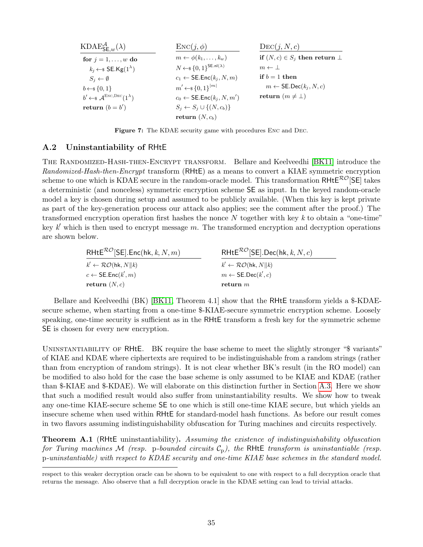<span id="page-34-2"></span><span id="page-34-1"></span>

| $\text{KDAE}^{\mathcal{A}}_{\mathsf{SE},w}(\lambda)$         | $\text{ENC}(j, \phi)$                                      | DEC(j, N, c)                                       |
|--------------------------------------------------------------|------------------------------------------------------------|----------------------------------------------------|
| for $j = 1, \ldots, w$ do                                    | $m \leftarrow \phi(k_1, \ldots, k_w)$                      | if $(N, c) \in S_j$ then return $\perp$            |
| $k_i \leftarrow s$ SE.Kg(1 <sup><math>\lambda</math></sup> ) | $N \leftarrow \{0,1\}^{\mathsf{SE}, \mathsf{nl}(\lambda)}$ | $m \leftarrow \perp$                               |
| $S_i \leftarrow \emptyset$                                   | $c_1 \leftarrow \mathsf{SE}.\mathsf{Enc}(k_i, N, m)$       | if $b=1$ then                                      |
| $b \leftarrow s \{0, 1\}$                                    | $m' \leftarrow \{0,1\}^{ m }$                              | $m \leftarrow \mathsf{SE}.\mathsf{Dec}(k_i, N, c)$ |
| $b' \leftarrow \mathcal{A}^{\text{ENC,DEC}}(1^{\lambda})$    | $c_0 \leftarrow \mathsf{SE}.\mathsf{Enc}(k_i, N, m')$      | return $(m \neq \perp)$                            |
| return $(b = b')$                                            | $S_i \leftarrow S_i \cup \{(N, c_b)\}\$                    |                                                    |
|                                                              | return $(N, c_b)$                                          |                                                    |

Figure 7: The KDAE security game with procedures Enc and Dec.

#### <span id="page-34-0"></span>A.2 Uninstantiability of RHtE

THE RANDOMIZED-HASH-THEN-ENCRYPT TRANSFORM. Bellare and Keelveedhi [\[BK11\]](#page-29-9) introduce the Randomized-Hash-then-Encrypt transform (RHtE) as a means to convert a KIAE symmetric encryption scheme to one which is KDAE secure in the random-oracle model. This transformation RHt $E^{\mathcal{RO}}[SE]$  takes a deterministic (and nonceless) symmetric encryption scheme SE as input. In the keyed random-oracle model a key is chosen during setup and assumed to be publicly available. (When this key is kept private as part of the key-generation process our attack also applies; see the comment after the proof.) The transformed encryption operation first hashes the nonce N together with key k to obtain a "one-time" key  $k'$  which is then used to encrypt message m. The transformed encryption and decryption operations are shown below.

| $RHE^{RO}[SE].Enc(hk, k, N, m)$                   | $RHE^{RO}[SE].Dec(hk, k, N, c)$                |
|---------------------------------------------------|------------------------------------------------|
| $k' \leftarrow \mathcal{RO}(\mathsf{hk}, N    k)$ | $k' \leftarrow \mathcal{RO}$ (hk, $N  k$ )     |
| $c \leftarrow \mathsf{SE}.\mathsf{Enc}(k', m)$    | $m \leftarrow \mathsf{SE}.\mathsf{Dec}(k', c)$ |
| return $(N, c)$                                   | return $m$                                     |

Bellare and Keelveedhi (BK) [\[BK11,](#page-29-9) Theorem 4.1] show that the RHtE transform yields a \$-KDAEsecure scheme, when starting from a one-time \$-KIAE-secure symmetric encryption scheme. Loosely speaking, one-time security is sufficient as in the RHtE transform a fresh key for the symmetric scheme SE is chosen for every new encryption.

Uninstantiability of RHtE. BK require the base scheme to meet the slightly stronger "\$ variants" of KIAE and KDAE where ciphertexts are required to be indistinguishable from a random strings (rather than from encryption of random strings). It is not clear whether BK's result (in the RO model) can be modified to also hold for the case the base scheme is only assumed to be KIAE and KDAE (rather than \$-KIAE and \$-KDAE). We will elaborate on this distinction further in Section [A.3.](#page-36-0) Here we show that such a modified result would also suffer from uninstantiability results. We show how to tweak any one-time KIAE-secure scheme SE to one which is still one-time KIAE secure, but which yields an insecure scheme when used within RHtE for standard-model hash functions. As before our result comes in two flavors assuming indistinguishability obfuscation for Turing machines and circuits respectively.

**Theorem A.1** (RHtE uninstantiability). Assuming the existence of indistinguishability obfuscation for Turing machines M (resp. p-bounded circuits  $C_p$ ), the RHtE transform is uninstantiable (resp. p-uninstantiable) with respect to KDAE security and one-time KIAE base schemes in the standard model.

respect to this weaker decryption oracle can be shown to be equivalent to one with respect to a full decryption oracle that returns the message. Also observe that a full decryption oracle in the KDAE setting can lead to trivial attacks.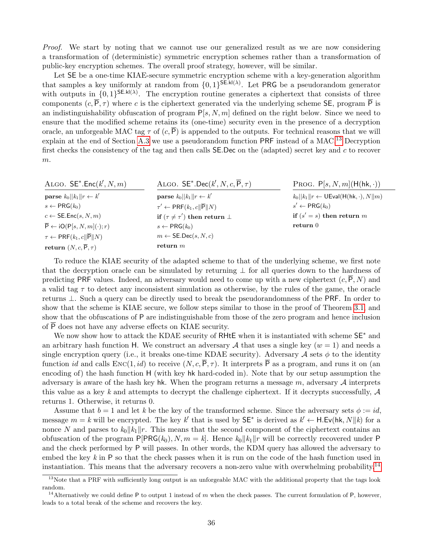Proof. We start by noting that we cannot use our generalized result as we are now considering a transformation of (deterministic) symmetric encryption schemes rather than a transformation of public-key encryption schemes. The overall proof strategy, however, will be similar.

Let SE be a one-time KIAE-secure symmetric encryption scheme with a key-generation algorithm that samples a key uniformly at random from  $\{0,1\}^{\mathsf{SE}.kl(\lambda)}$ . Let PRG be a pseudorandom generator with outputs in  $\{0,1\}^{\mathsf{SE},\mathsf{kl}(\lambda)}$ . The encryption routine generates a ciphertext that consists of three components  $(c, \overline{P}, \tau)$  where c is the ciphertext generated via the underlying scheme SE, program  $\overline{P}$  is an indistinguishability obfuscation of program  $P[s, N, m]$  defined on the right below. Since we need to ensure that the modified scheme retains its (one-time) security even in the presence of a decryption oracle, an unforgeable MAC tag  $\tau$  of  $(c, P)$  is appended to the outputs. For technical reasons that we will explain at the end of Section [A.3](#page-36-0) we use a pseudorandom function PRF instead of a MAC.<sup>[13](#page-35-0)</sup> Decryption first checks the consistency of the tag and then calls SE.Dec on the (adapted) secret key and c to recover  $m$ .

| ALGO. $SE^*$ . $Enc(k', N, m)$                                     | ALGO. $SE^*$ .Dec(k', N, c, $\overline{P}$ , $\tau$ )    | PROG. $P[s, N, m](H(hk, \cdot))$                                             |
|--------------------------------------------------------------------|----------------------------------------------------------|------------------------------------------------------------------------------|
| <b>parse</b> $k_0  k_1  r \leftarrow k'$                           | <b>parse</b> $k_0  k_1  r \leftarrow k'$                 | $k_0  k_1  r \leftarrow \mathsf{UEval}(\mathsf{H}(\mathsf{hk},\cdot), N  m)$ |
| $s \leftarrow \text{PRG}(k_0)$                                     | $\tau' \leftarrow \mathsf{PRF}(k_1, c  \overline{P}  N)$ | $s' \leftarrow PRG(k_0)$                                                     |
| $c \leftarrow \mathsf{SE}.\mathsf{Enc}(s, N, m)$                   | if $(\tau \neq \tau')$ then return $\bot$                | if $(s' = s)$ then return m                                                  |
| $\overline{P} \leftarrow iO(P[s, N, m](\cdot); r)$                 | $s \leftarrow \text{PRG}(k_0)$                           | return 0                                                                     |
| $\tau \leftarrow \mathsf{PRF}(k_1, c \ \overline{\mathsf{P}}\  N)$ | $m \leftarrow \mathsf{SE}.\mathsf{Dec}(s, N, c)$         |                                                                              |
| return $(N, c, \overline{P}, \tau)$                                | return $m$                                               |                                                                              |

To reduce the KIAE security of the adapted scheme to that of the underlying scheme, we first note that the decryption oracle can be simulated by returning  $\perp$  for all queries down to the hardness of predicting PRF values. Indeed, an adversary would need to come up with a new ciphertext  $(c, \overline{P}, N)$  and a valid tag  $\tau$  to detect any inconsistent simulation as otherwise, by the rules of the game, the oracle returns ⊥. Such a query can be directly used to break the pseudorandomness of the PRF. In order to show that the scheme is KIAE secure, we follow steps similar to those in the proof of Theorem [3.1,](#page-13-2) and show that the obfuscations of P are indistinguishable from those of the zero program and hence inclusion of  $\overline{P}$  does not have any adverse effects on KIAE security.

We now show how to attack the KDAE security of RHtE when it is instantiated with scheme  $SE^*$  and an arbitrary hash function H. We construct an adversary  $A$  that uses a single key  $(w = 1)$  and needs a single encryption query (i.e., it breaks one-time KDAE security). Adversary  $\mathcal A$  sets  $\phi$  to the identity function id and calls  $Enc(1, id)$  to receive  $(N, c, \overline{P}, \tau)$ . It interprets  $\overline{P}$  as a program, and runs it on (an encoding of) the hash function H (with key hk hard-coded in). Note that by our setup assumption the adversary is aware of the hash key hk. When the program returns a message  $m$ , adversary  $A$  interprets this value as a key k and attempts to decrypt the challenge ciphertext. If it decrypts successfully,  $\mathcal A$ returns 1. Otherwise, it returns 0.

Assume that  $b = 1$  and let k be the key of the transformed scheme. Since the adversary sets  $\phi := id$ , message  $m = k$  will be encrypted. The key k' that is used by  $\mathsf{SE}^*$  is derived as  $k' \leftarrow \mathsf{H}.\mathsf{Ev}(\mathsf{hk}, N||k)$  for a nonce N and parses to  $k_0||k_1||r$ . This means that the second component of the ciphertext contains an obfuscation of the program  $P[PRG(k_0), N, m = k]$ . Hence  $k_0||k_1||r$  will be correctly recovered under P and the check performed by P will passes. In other words, the KDM query has allowed the adversary to embed the key  $k$  in P so that the check passes when it is run on the code of the hash function used in instantiation. This means that the adversary recovers a non-zero value with overwhelming probability.<sup>[14](#page-35-1)</sup>

<span id="page-35-0"></span><sup>&</sup>lt;sup>13</sup>Note that a PRF with sufficiently long output is an unforgeable MAC with the additional property that the tags look random.

<span id="page-35-1"></span><sup>&</sup>lt;sup>14</sup>Alternatively we could define P to output 1 instead of m when the check passes. The current formulation of P, however, leads to a total break of the scheme and recovers the key.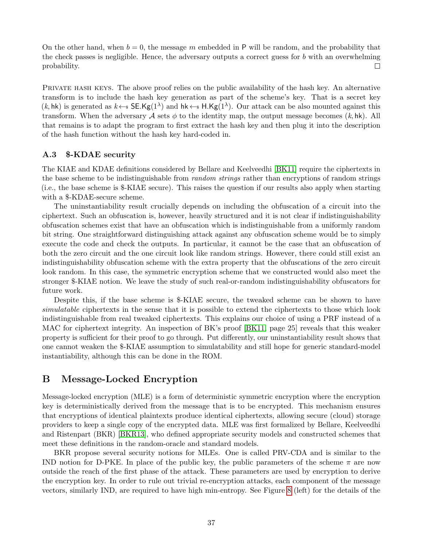<span id="page-36-2"></span>On the other hand, when  $b = 0$ , the message m embedded in P will be random, and the probability that the check passes is negligible. Hence, the adversary outputs a correct guess for  $b$  with an overwhelming probability.  $\Box$ 

PRIVATE HASH KEYS. The above proof relies on the public availability of the hash key. An alternative transform is to include the hash key generation as part of the scheme's key. That is a secret key  $(k, \text{hk})$  is generated as  $k \leftarrow s$  SE.Kg(1<sup> $\lambda$ </sup>) and  $\text{hk} \leftarrow s$  H.Kg(1<sup> $\lambda$ </sup>). Our attack can be also mounted against this transform. When the adversary A sets  $\phi$  to the identity map, the output message becomes  $(k, \hbar k)$ . All that remains is to adapt the program to first extract the hash key and then plug it into the description of the hash function without the hash key hard-coded in.

#### <span id="page-36-0"></span>A.3 \$-KDAE security

The KIAE and KDAE definitions considered by Bellare and Keelveedhi [\[BK11\]](#page-29-9) require the ciphertexts in the base scheme to be indistinguishable from *random strings* rather than encryptions of random strings (i.e., the base scheme is \$-KIAE secure). This raises the question if our results also apply when starting with a \$-KDAE-secure scheme.

The uninstantiability result crucially depends on including the obfuscation of a circuit into the ciphertext. Such an obfuscation is, however, heavily structured and it is not clear if indistinguishability obfuscation schemes exist that have an obfuscation which is indistinguishable from a uniformly random bit string. One straightforward distinguishing attack against any obfuscation scheme would be to simply execute the code and check the outputs. In particular, it cannot be the case that an obfuscation of both the zero circuit and the one circuit look like random strings. However, there could still exist an indistinguishability obfuscation scheme with the extra property that the obfuscations of the zero circuit look random. In this case, the symmetric encryption scheme that we constructed would also meet the stronger \$-KIAE notion. We leave the study of such real-or-random indistinguishability obfuscators for future work.

Despite this, if the base scheme is \$-KIAE secure, the tweaked scheme can be shown to have simulatable ciphertexts in the sense that it is possible to extend the ciphertexts to those which look indistinguishable from real tweaked ciphertexts. This explains our choice of using a PRF instead of a MAC for ciphertext integrity. An inspection of BK's proof [\[BK11,](#page-29-9) page 25] reveals that this weaker property is sufficient for their proof to go through. Put differently, our uninstantiability result shows that one cannot weaken the \$-KIAE assumption to simulatability and still hope for generic standard-model instantiability, although this can be done in the ROM.

# <span id="page-36-1"></span>B Message-Locked Encryption

Message-locked encryption (MLE) is a form of deterministic symmetric encryption where the encryption key is deterministically derived from the message that is to be encrypted. This mechanism ensures that encryptions of identical plaintexts produce identical ciphertexts, allowing secure (cloud) storage providers to keep a single copy of the encrypted data. MLE was first formalized by Bellare, Keelveedhi and Ristenpart (BKR) [\[BKR13\]](#page-29-10), who defined appropriate security models and constructed schemes that meet these definitions in the random-oracle and standard models.

BKR propose several security notions for MLEs. One is called PRV-CDA and is similar to the IND notion for D-PKE. In place of the public key, the public parameters of the scheme  $\pi$  are now outside the reach of the first phase of the attack. These parameters are used by encryption to derive the encryption key. In order to rule out trivial re-encryption attacks, each component of the message vectors, similarly IND, are required to have high min-entropy. See Figure [8](#page-37-1) (left) for the details of the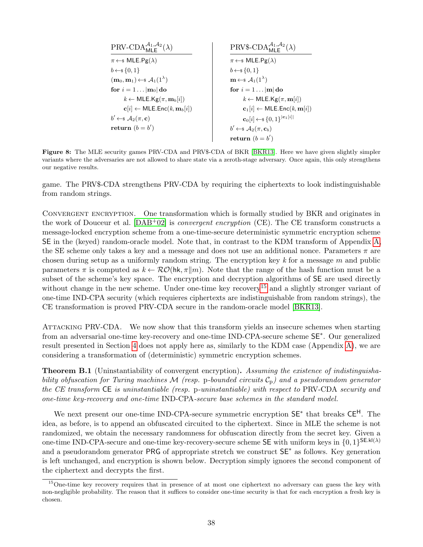<span id="page-37-1"></span><span id="page-37-0"></span>

Figure 8: The MLE security games PRV-CDA and PRV\$-CDA of BKR [\[BKR13\]](#page-29-10). Here we have given slightly simpler variants where the adversaries are not allowed to share state via a zeroth-stage adversary. Once again, this only strengthens our negative results.

game. The PRV\$-CDA strengthens PRV-CDA by requiring the ciphertexts to look indistinguishable from random strings.

CONVERGENT ENCRYPTION. One transformation which is formally studied by BKR and originates in the work of Douceur et al.  $[DAB<sup>+</sup>02]$  $[DAB<sup>+</sup>02]$  is *convergent encryption* (CE). The CE transform constructs a message-locked encryption scheme from a one-time-secure deterministic symmetric encryption scheme SE in the (keyed) random-oracle model. Note that, in contrast to the KDM transform of Appendix [A,](#page-32-0) the SE scheme only takes a key and a message and does not use an additional nonce. Parameters  $\pi$  are chosen during setup as a uniformly random string. The encryption key  $k$  for a message  $m$  and public parameters  $\pi$  is computed as  $k \leftarrow \mathcal{RO}(\mathsf{hk}, \pi | m)$ . Note that the range of the hash function must be a subset of the scheme's key space. The encryption and decryption algorithms of SE are used directly without change in the new scheme. Under one-time key recovery<sup>[15](#page-37-2)</sup> and a slightly stronger variant of one-time IND-CPA security (which requieres ciphertexts are indistinguishable from random strings), the CE transformation is proved PRV-CDA secure in the random-oracle model [\[BKR13\]](#page-29-10).

Attacking PRV-CDA. We now show that this transform yields an insecure schemes when starting from an adversarial one-time key-recovery and one-time IND-CPA-secure scheme SE<sup>∗</sup> . Our generalized result presented in Section [4](#page-19-0) does not apply here as, similarly to the KDM case (Appendix [A\)](#page-32-0), we are considering a transformation of (deterministic) symmetric encryption schemes.

<span id="page-37-3"></span>**Theorem B.1** (Uninstantiability of convergent encryption). Assuming the existence of indistinguishability obfuscation for Turing machines  $\mathcal M$  (resp. p-bounded circuits  $\mathcal C_p$ ) and a pseudorandom generator the CE transform CE is uninstantiable (resp. p-uninstantiable) with respect to PRV-CDA security and one-time key-recovery and one-time IND-CPA-secure base schemes in the standard model.

We next present our one-time IND-CPA-secure symmetric encryption  $SE^*$  that breaks  $CE^H$ . The idea, as before, is to append an obfuscated circuited to the ciphertext. Since in MLE the scheme is not randomized, we obtain the necessary randomness for obfuscation directly from the secret key. Given a one-time IND-CPA-secure and one-time key-recovery-secure scheme SE with uniform keys in  $\{0,1\}^{\mathsf{SE},\mathsf{kI}(\lambda)}$ and a pseudorandom generator PRG of appropriate stretch we construct SE<sup>∗</sup> as follows. Key generation is left unchanged, and encryption is shown below. Decryption simply ignores the second component of the ciphertext and decrypts the first.

<span id="page-37-2"></span><sup>&</sup>lt;sup>15</sup>One-time key recovery requires that in presence of at most one ciphertext no adversary can guess the key with non-negligible probability. The reason that it suffices to consider one-time security is that for each encryption a fresh key is chosen.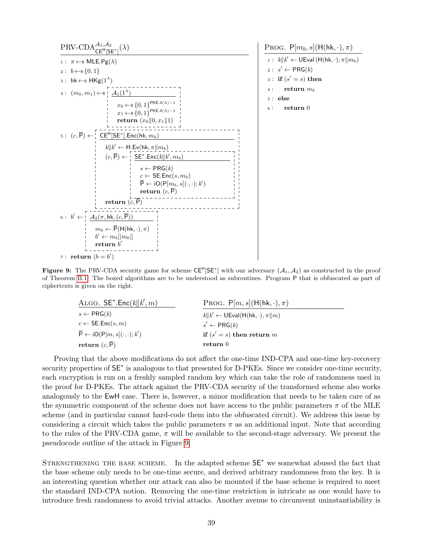<span id="page-38-0"></span>



 $2: s' \leftarrow PRG(k)$ 

 $s:$  if  $(s' = s)$  then

- return  $m_b$
- <sup>5</sup> : else
- 6 : **return** 0

Figure 9: The PRV-CDA security game for scheme  $CE^H[SE^*]$  with our adversary  $(A_1, A_2)$  as constructed in the proof of Theorem [B.1.](#page-37-3) The boxed algorithms are to be understood as subroutines. Program P that is obfuscated as part of ciphertexts is given on the right.

| ALGO. $SE^*$ . $Enc(k  k', m)$                          | PROG. $P[m, s](H(hk, \cdot), \pi)$                                      |
|---------------------------------------------------------|-------------------------------------------------------------------------|
| $s \leftarrow \text{PRG}(k)$                            | $k  k' \leftarrow \mathsf{UEval}(\mathsf{H}(\mathsf{hk},\cdot),\pi  m)$ |
| $c \leftarrow \mathsf{SE}.\mathsf{Enc}(s,m)$            | $s' \leftarrow \text{PRG}(k)$                                           |
| $\overline{P} \leftarrow iO(P[m, s](\cdot, \cdot); k')$ | if $(s' = s)$ then return m                                             |
| return $(c, P)$                                         | return 0                                                                |

Proving that the above modifications do not affect the one-time IND-CPA and one-time key-recovery security properties of  $SE^*$  is analogous to that presented for D-PKEs. Since we consider one-time security, each encryption is run on a freshly sampled random key which can take the role of randomness used in the proof for D-PKEs. The attack against the PRV-CDA security of the transformed scheme also works analogously to the EwH case. There is, however, a minor modification that needs to be taken care of as the symmetric component of the scheme does not have access to the public parameters  $\pi$  of the MLE scheme (and in particular cannot hard-code them into the obfuscated circuit). We address this issue by considering a circuit which takes the public parameters  $\pi$  as an additional input. Note that according to the rules of the PRV-CDA game,  $\pi$  will be available to the second-stage adversary. We present the pseudocode outline of the attack in Figure [9.](#page-38-0)

STRENGTHENING THE BASE SCHEME. In the adapted scheme SE<sup>∗</sup> we somewhat abused the fact that the base scheme only needs to be one-time secure, and derived arbitrary randomness from the key. It is an interesting question whether our attack can also be mounted if the base scheme is required to meet the standard IND-CPA notion. Removing the one-time restriction is intricate as one would have to introduce fresh randomness to avoid trivial attacks. Another avenue to circumvent uninstantiability is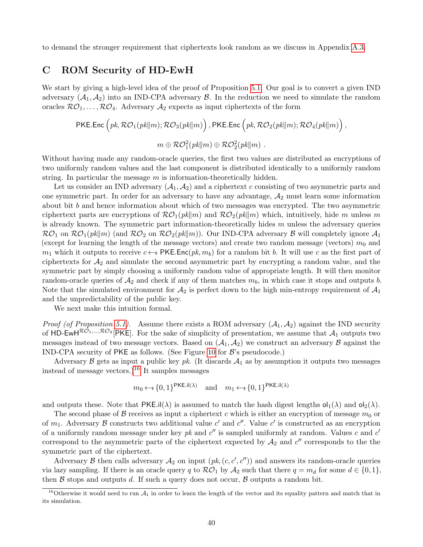to demand the stronger requirement that ciphertexts look random as we discuss in Appendix [A.3.](#page-36-0)

### <span id="page-39-0"></span>C ROM Security of HD-EwH

We start by giving a high-level idea of the proof of Proposition [5.1.](#page-24-2) Our goal is to convert a given IND adversary  $(\mathcal{A}_1, \mathcal{A}_2)$  into an IND-CPA adversary  $\mathcal{B}$ . In the reduction we need to simulate the random oracles  $\mathcal{RO}_1, \ldots, \mathcal{RO}_4$ . Adversary  $\mathcal{A}_2$  expects as input ciphertexts of the form

$$
\mathsf{PKE}.\mathsf{Enc}\left(pk, \mathcal{RO}_1(pk||m); \mathcal{RO}_3(pk||m)\right), \mathsf{PKE}.\mathsf{Enc}\left(pk, \mathcal{RO}_2(pk||m); \mathcal{RO}_4(pk||m)\right),
$$

$$
m \oplus \mathcal{RO}_1^2(pk||m) \oplus \mathcal{RO}_2^2(pk||m) .
$$

Without having made any random-oracle queries, the first two values are distributed as encryptions of two uniformly random values and the last component is distributed identically to a uniformly random string. In particular the message  $m$  is information-theoretically hidden.

Let us consider an IND adversary  $(\mathcal{A}_1, \mathcal{A}_2)$  and a ciphertext c consisting of two asymmetric parts and one symmetric part. In order for an adversary to have any advantage,  $A_2$  must learn some information about bit  $b$  and hence information about which of two messages was encrypted. The two asymmetric ciphertext parts are encryptions of  $\mathcal{RO}_1(pk||m)$  and  $\mathcal{RO}_2(pk||m)$  which, intuitively, hide m unless m is already known. The symmetric part information-theoretically hides  $m$  unless the adversary queries  $\mathcal{RO}_1$  on  $\mathcal{RO}_1(pk||m)$  (and  $\mathcal{RO}_2$  on  $\mathcal{RO}_2(pk||m)$ ). Our IND-CPA adversary B will completely ignore  $\mathcal{A}_1$ (except for learning the length of the message vectors) and create two random message (vectors)  $m_0$  and  $m_1$  which it outputs to receive  $c \leftarrow s$  PKE. Enc(pk,  $m_b$ ) for a random bit b. It will use c as the first part of ciphertexts for  $A_2$  and simulate the second asymmetric part by encrypting a random value, and the symmetric part by simply choosing a uniformly random value of appropriate length. It will then monitor random-oracle queries of  $A_2$  and check if any of them matches  $m_b$ , in which case it stops and outputs b. Note that the simulated environment for  $\mathcal{A}_2$  is perfect down to the high min-entropy requirement of  $\mathcal{A}_1$ and the unpredictability of the public key.

We next make this intuition formal.

*Proof (of Proposition [5.1\)](#page-24-2).* Assume there exists a ROM adversary  $(A_1, A_2)$  against the IND security of HD-EwH<sup>RO<sub>1</sub>,...,RO<sub>4</sub> [PKE]. For the sake of simplicity of presentation, we assume that  $A_1$  outputs two</sup> messages instead of two message vectors. Based on  $(\mathcal{A}_1, \mathcal{A}_2)$  we construct an adversary  $\mathcal B$  against the IND-CPA security of PKE as follows. (See Figure [10](#page-40-0) for B's pseudocode.)

Adversary B gets as input a public key pk. (It discards  $A_1$  as by assumption it outputs two messages instead of message vectors.)<sup>[16](#page-39-1)</sup> It samples messages

$$
m_0 \leftarrow s \{0, 1\}^{PKE \cdot \text{il}(\lambda)}
$$
 and  $m_1 \leftarrow s \{0, 1\}^{PKE \cdot \text{il}(\lambda)}$ 

and outputs these. Note that  $PKE.i(\lambda)$  is assumed to match the hash digest lengths  $ol_1(\lambda)$  and  $ol_2(\lambda)$ .

The second phase of  $\beta$  receives as input a ciphertext c which is either an encryption of message  $m_0$  or of  $m_1$ . Adversary  $\beta$  constructs two additional value c' and c''. Value c' is constructed as an encryption of a uniformly random message under key pk and  $c''$  is sampled uniformly at random. Values c and  $c'$ correspond to the asymmetric parts of the ciphertext expected by  $\mathcal{A}_2$  and  $c''$  corresponds to the the symmetric part of the ciphertext.

Adversary  $\mathcal B$  then calls adversary  $\mathcal A_2$  on input  $(\mathit{pk}, (\mathit{c}, \mathit{c}', \mathit{c}''))$  and answers its random-oracle queries via lazy sampling. If there is an oracle query q to  $\mathcal{RO}_1$  by  $\mathcal{A}_2$  such that there  $q = m_d$  for some  $d \in \{0, 1\}$ , then  $\beta$  stops and outputs d. If such a query does not occur,  $\beta$  outputs a random bit.

<span id="page-39-1"></span><sup>&</sup>lt;sup>16</sup>Otherwise it would need to run  $A_1$  in order to learn the length of the vector and its equality pattern and match that in its simulation.